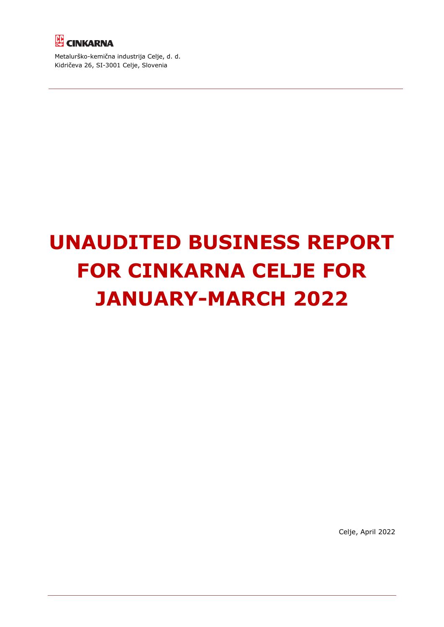

Metalurško-kemična industrija Celje, d. d. Kidričeva 26, SI-3001 Celje, Slovenia

# **UNAUDITED BUSINESS REPORT FOR CINKARNA CELJE FOR JANUARY-MARCH 2022**

Celje, April 2022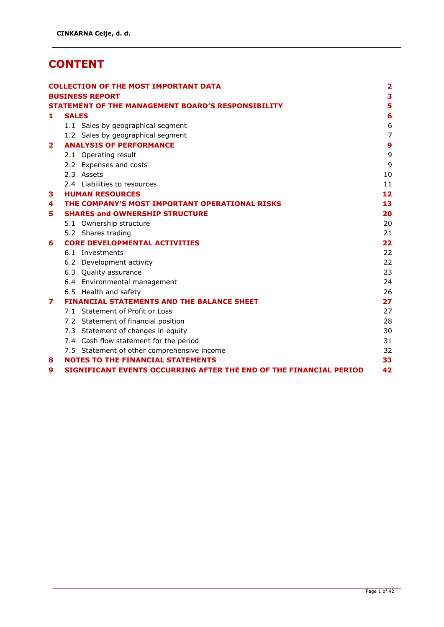## **CONTENT**

|              |              | <b>COLLECTION OF THE MOST IMPORTANT DATA</b>                       | $\overline{\mathbf{2}}$ |
|--------------|--------------|--------------------------------------------------------------------|-------------------------|
|              |              | <b>BUSINESS REPORT</b>                                             | 3                       |
|              |              | <b>STATEMENT OF THE MANAGEMENT BOARD'S RESPONSIBILITY</b>          | 5                       |
| 1.           | <b>SALES</b> |                                                                    | 6                       |
|              |              | 1.1 Sales by geographical segment                                  | 6                       |
|              |              | 1.2 Sales by geographical segment                                  | $\overline{7}$          |
| $\mathbf{z}$ |              | <b>ANALYSIS OF PERFORMANCE</b>                                     | 9                       |
|              |              | 2.1 Operating result                                               | 9                       |
|              |              | 2.2 Expenses and costs                                             | 9                       |
|              |              | 2.3 Assets                                                         | 10                      |
|              |              | 2.4 Liabilities to resources                                       | 11                      |
| 3            |              | <b>HUMAN RESOURCES</b>                                             | 12                      |
| 4            |              | THE COMPANY'S MOST IMPORTANT OPERATIONAL RISKS                     | 13                      |
| 5.           |              | <b>SHARES and OWNERSHIP STRUCTURE</b>                              | 20                      |
|              |              | 5.1 Ownership structure                                            | 20                      |
|              |              | 5.2 Shares trading                                                 | 21                      |
| 6            |              | <b>CORE DEVELOPMENTAL ACTIVITIES</b>                               | 22                      |
|              |              | 6.1 Investments                                                    | 22                      |
|              |              | 6.2 Development activity                                           | 22                      |
|              |              | 6.3 Quality assurance                                              | 23                      |
|              |              | 6.4 Environmental management                                       | 24                      |
|              |              | 6.5 Health and safety                                              | 26                      |
| 7            |              | <b>FINANCIAL STATEMENTS AND THE BALANCE SHEET</b>                  | 27                      |
|              |              | 7.1 Statement of Profit or Loss                                    | 27                      |
|              |              | 7.2 Statement of financial position                                | 28                      |
|              |              | 7.3 Statement of changes in equity                                 | 30                      |
|              |              | 7.4 Cash flow statement for the period                             | 31                      |
|              |              | 7.5 Statement of other comprehensive income                        | 32                      |
| 8            |              | <b>NOTES TO THE FINANCIAL STATEMENTS</b>                           | 33                      |
| 9            |              | SIGNIFICANT EVENTS OCCURRING AFTER THE END OF THE FINANCIAL PERIOD | 42                      |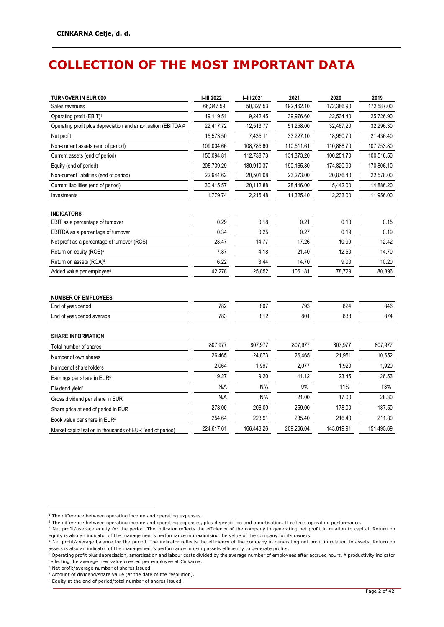## <span id="page-2-0"></span>**COLLECTION OF THE MOST IMPORTANT DATA**

| <b>TURNOVER IN EUR 000</b>                                                | <b>I-III 2022</b> | I-III 2021 | 2021       | 2020       | 2019       |
|---------------------------------------------------------------------------|-------------------|------------|------------|------------|------------|
| Sales revenues                                                            | 66,347.59         | 50,327.53  | 192,462.10 | 172,386.90 | 172,587.00 |
| Operating profit (EBIT) <sup>1</sup>                                      | 19,119.51         | 9,242.45   | 39,976.60  | 22,534.40  | 25,726.90  |
| Operating profit plus depreciation and amortisation (EBITDA) <sup>2</sup> | 22,417.72         | 12,513.77  | 51,258.00  | 32,467.20  | 32,296.30  |
| Net profit                                                                | 15,573.50         | 7,435.11   | 33,227.10  | 18,950.70  | 21,436.40  |
| Non-current assets (end of period)                                        | 109,004.66        | 108,785.60 | 110,511.61 | 110,888.70 | 107,753.80 |
| Current assets (end of period)                                            | 150,094.81        | 112,738.73 | 131,373.20 | 100,251.70 | 100,516.50 |
| Equity (end of period)                                                    | 205,739.29        | 180,910.37 | 190,165.80 | 174,820.90 | 170,806.10 |
| Non-current liabilities (end of period)                                   | 22,944.62         | 20,501.08  | 23,273.00  | 20,876.40  | 22,578.00  |
| Current liabilities (end of period)                                       | 30,415.57         | 20,112.88  | 28,446.00  | 15,442.00  | 14,886.20  |
| Investments                                                               | 1,779.74          | 2,215.48   | 11,325.40  | 12,233.00  | 11,956.00  |
| <b>INDICATORS</b>                                                         |                   |            |            |            |            |
| EBIT as a percentage of turnover                                          | 0.29              | 0.18       | 0.21       | 0.13       | 0.15       |
| EBITDA as a percentage of turnover                                        | 0.34              | 0.25       | 0.27       | 0.19       | 0.19       |
| Net profit as a percentage of turnover (ROS)                              | 23.47             | 14.77      | 17.26      | 10.99      | 12.42      |
| Return on equity (ROE) <sup>3</sup>                                       | 7.87              | 4.18       | 21.40      | 12.50      | 14.70      |
| Return on assets (ROA) <sup>4</sup>                                       | 6.22              | 3.44       | 14.70      | 9.00       | 10.20      |
| Added value per employee <sup>5</sup>                                     | 42,278            | 25,852     | 106,181    | 78,729     | 80,896     |
|                                                                           |                   |            |            |            |            |
| <b>NUMBER OF EMPLOYEES</b>                                                |                   |            |            |            |            |
| End of year/period                                                        | 782               | 807        | 793        | 824        | 846        |
| End of year/period average                                                | 783               | 812        | 801        | 838        | 874        |
|                                                                           |                   |            |            |            |            |
| <b>SHARE INFORMATION</b>                                                  | 807,977           |            |            | 807,977    |            |
| Total number of shares                                                    |                   | 807,977    | 807,977    |            | 807,977    |
| Number of own shares                                                      | 26,465            | 24,873     | 26,465     | 21,951     | 10,652     |
| Number of shareholders                                                    | 2,064             | 1,997      | 2,077      | 1,920      | 1,920      |
| Earnings per share in EUR <sup>6</sup>                                    | 19.27             | 9.20       | 41.12      | 23.45      | 26.53      |
| Dividend yield <sup>7</sup>                                               | N/A               | N/A        | 9%         | 11%        | 13%        |
| Gross dividend per share in EUR                                           | N/A               | N/A        | 21.00      | 17.00      | 28.30      |
| Share price at end of period in EUR                                       | 278.00            | 206.00     | 259.00     | 178.00     | 187.50     |
| Book value per share in EUR <sup>8</sup>                                  | 254.64            | 223.91     | 235.40     | 216.40     | 211.80     |
| Market capitalisation in thousands of EUR (end of period)                 | 224,617.61        | 166,443.26 | 209,266.04 | 143,819.91 | 151,495.69 |

 $^{\rm 1}$  The difference between operating income and operating expenses.

<sup>&</sup>lt;sup>2</sup> The difference between operating income and operating expenses, plus depreciation and amortisation. It reflects operating performance.

<sup>3</sup> Net profit/average equity for the period. The indicator reflects the efficiency of the company in generating net profit in relation to capital. Return on equity is also an indicator of the management's performance in maximising the value of the company for its owners.

<sup>&</sup>lt;sup>4</sup> Net profit/average balance for the period. The indicator reflects the efficiency of the company in generating net profit in relation to assets. Return on assets is also an indicator of the management's performance in using assets efficiently to generate profits.

<sup>5</sup> Operating profit plus depreciation, amortisation and labour costs divided by the average number of employees after accrued hours. A productivity indicator reflecting the average new value created per employee at Cinkarna.

<sup>6</sup> Net profit/average number of shares issued.

<sup>7</sup> Amount of dividend/share value (at the date of the resolution).

<sup>8</sup> Equity at the end of period/total number of shares issued.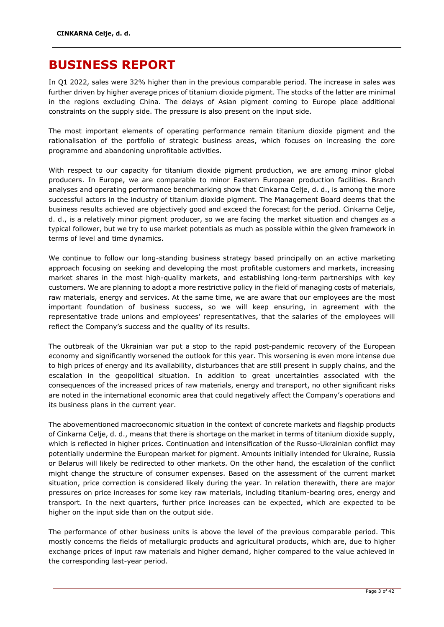### <span id="page-3-0"></span>**BUSINESS REPORT**

In Q1 2022, sales were 32% higher than in the previous comparable period. The increase in sales was further driven by higher average prices of titanium dioxide pigment. The stocks of the latter are minimal in the regions excluding China. The delays of Asian pigment coming to Europe place additional constraints on the supply side. The pressure is also present on the input side.

The most important elements of operating performance remain titanium dioxide pigment and the rationalisation of the portfolio of strategic business areas, which focuses on increasing the core programme and abandoning unprofitable activities.

With respect to our capacity for titanium dioxide pigment production, we are among minor global producers. In Europe, we are comparable to minor Eastern European production facilities. Branch analyses and operating performance benchmarking show that Cinkarna Celje, d. d., is among the more successful actors in the industry of titanium dioxide pigment. The Management Board deems that the business results achieved are objectively good and exceed the forecast for the period. Cinkarna Celje, d. d., is a relatively minor pigment producer, so we are facing the market situation and changes as a typical follower, but we try to use market potentials as much as possible within the given framework in terms of level and time dynamics.

We continue to follow our long-standing business strategy based principally on an active marketing approach focusing on seeking and developing the most profitable customers and markets, increasing market shares in the most high-quality markets, and establishing long-term partnerships with key customers. We are planning to adopt a more restrictive policy in the field of managing costs of materials, raw materials, energy and services. At the same time, we are aware that our employees are the most important foundation of business success, so we will keep ensuring, in agreement with the representative trade unions and employees' representatives, that the salaries of the employees will reflect the Company's success and the quality of its results.

The outbreak of the Ukrainian war put a stop to the rapid post-pandemic recovery of the European economy and significantly worsened the outlook for this year. This worsening is even more intense due to high prices of energy and its availability, disturbances that are still present in supply chains, and the escalation in the geopolitical situation. In addition to great uncertainties associated with the consequences of the increased prices of raw materials, energy and transport, no other significant risks are noted in the international economic area that could negatively affect the Company's operations and its business plans in the current year.

The abovementioned macroeconomic situation in the context of concrete markets and flagship products of Cinkarna Celje, d. d., means that there is shortage on the market in terms of titanium dioxide supply, which is reflected in higher prices. Continuation and intensification of the Russo-Ukrainian conflict may potentially undermine the European market for pigment. Amounts initially intended for Ukraine, Russia or Belarus will likely be redirected to other markets. On the other hand, the escalation of the conflict might change the structure of consumer expenses. Based on the assessment of the current market situation, price correction is considered likely during the year. In relation therewith, there are major pressures on price increases for some key raw materials, including titanium-bearing ores, energy and transport. In the next quarters, further price increases can be expected, which are expected to be higher on the input side than on the output side.

The performance of other business units is above the level of the previous comparable period. This mostly concerns the fields of metallurgic products and agricultural products, which are, due to higher exchange prices of input raw materials and higher demand, higher compared to the value achieved in the corresponding last-year period.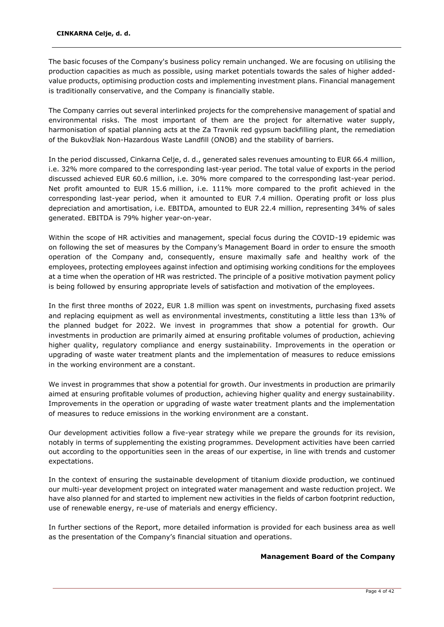The basic focuses of the Company's business policy remain unchanged. We are focusing on utilising the production capacities as much as possible, using market potentials towards the sales of higher addedvalue products, optimising production costs and implementing investment plans. Financial management is traditionally conservative, and the Company is financially stable.

The Company carries out several interlinked projects for the comprehensive management of spatial and environmental risks. The most important of them are the project for alternative water supply, harmonisation of spatial planning acts at the Za Travnik red gypsum backfilling plant, the remediation of the Bukovžlak Non-Hazardous Waste Landfill (ONOB) and the stability of barriers.

In the period discussed, Cinkarna Celje, d. d., generated sales revenues amounting to EUR 66.4 million, i.e. 32% more compared to the corresponding last-year period. The total value of exports in the period discussed achieved EUR 60.6 million, i.e. 30% more compared to the corresponding last-year period. Net profit amounted to EUR 15.6 million, i.e. 111% more compared to the profit achieved in the corresponding last-year period, when it amounted to EUR 7.4 million. Operating profit or loss plus depreciation and amortisation, i.e. EBITDA, amounted to EUR 22.4 million, representing 34% of sales generated. EBITDA is 79% higher year-on-year.

Within the scope of HR activities and management, special focus during the COVID-19 epidemic was on following the set of measures by the Company's Management Board in order to ensure the smooth operation of the Company and, consequently, ensure maximally safe and healthy work of the employees, protecting employees against infection and optimising working conditions for the employees at a time when the operation of HR was restricted. The principle of a positive motivation payment policy is being followed by ensuring appropriate levels of satisfaction and motivation of the employees.

In the first three months of 2022, EUR 1.8 million was spent on investments, purchasing fixed assets and replacing equipment as well as environmental investments, constituting a little less than 13% of the planned budget for 2022. We invest in programmes that show a potential for growth. Our investments in production are primarily aimed at ensuring profitable volumes of production, achieving higher quality, regulatory compliance and energy sustainability. Improvements in the operation or upgrading of waste water treatment plants and the implementation of measures to reduce emissions in the working environment are a constant.

We invest in programmes that show a potential for growth. Our investments in production are primarily aimed at ensuring profitable volumes of production, achieving higher quality and energy sustainability. Improvements in the operation or upgrading of waste water treatment plants and the implementation of measures to reduce emissions in the working environment are a constant.

Our development activities follow a five-year strategy while we prepare the grounds for its revision, notably in terms of supplementing the existing programmes. Development activities have been carried out according to the opportunities seen in the areas of our expertise, in line with trends and customer expectations.

In the context of ensuring the sustainable development of titanium dioxide production, we continued our multi-year development project on integrated water management and waste reduction project. We have also planned for and started to implement new activities in the fields of carbon footprint reduction, use of renewable energy, re-use of materials and energy efficiency.

In further sections of the Report, more detailed information is provided for each business area as well as the presentation of the Company's financial situation and operations.

### **Management Board of the Company**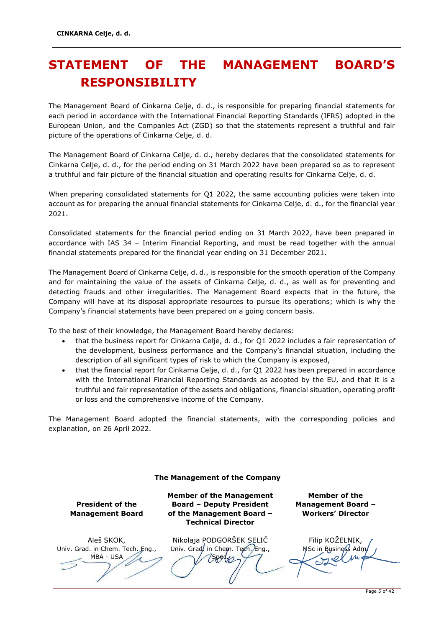## <span id="page-5-0"></span>**STATEMENT OF THE MANAGEMENT BOARD'S RESPONSIBILITY**

The Management Board of Cinkarna Celje, d. d., is responsible for preparing financial statements for each period in accordance with the International Financial Reporting Standards (IFRS) adopted in the European Union, and the Companies Act (ZGD) so that the statements represent a truthful and fair picture of the operations of Cinkarna Celje, d. d.

The Management Board of Cinkarna Celje, d. d., hereby declares that the consolidated statements for Cinkarna Celje, d. d., for the period ending on 31 March 2022 have been prepared so as to represent a truthful and fair picture of the financial situation and operating results for Cinkarna Celje, d. d.

When preparing consolidated statements for Q1 2022, the same accounting policies were taken into account as for preparing the annual financial statements for Cinkarna Celje, d. d., for the financial year 2021.

Consolidated statements for the financial period ending on 31 March 2022, have been prepared in accordance with IAS 34 – Interim Financial Reporting, and must be read together with the annual financial statements prepared for the financial year ending on 31 December 2021.

The Management Board of Cinkarna Celje, d. d., is responsible for the smooth operation of the Company and for maintaining the value of the assets of Cinkarna Celje, d. d., as well as for preventing and detecting frauds and other irregularities. The Management Board expects that in the future, the Company will have at its disposal appropriate resources to pursue its operations; which is why the Company's financial statements have been prepared on a going concern basis.

To the best of their knowledge, the Management Board hereby declares:

- that the business report for Cinkarna Celje, d. d., for Q1 2022 includes a fair representation of the development, business performance and the Company's financial situation, including the description of all significant types of risk to which the Company is exposed,
- that the financial report for Cinkarna Celje, d. d., for Q1 2022 has been prepared in accordance with the International Financial Reporting Standards as adopted by the EU, and that it is a truthful and fair representation of the assets and obligations, financial situation, operating profit or loss and the comprehensive income of the Company.

The Management Board adopted the financial statements, with the corresponding policies and explanation, on 26 April 2022.

| The Management of the Company                                      |                                                                                                                              |                                                                        |  |  |
|--------------------------------------------------------------------|------------------------------------------------------------------------------------------------------------------------------|------------------------------------------------------------------------|--|--|
| <b>President of the</b><br><b>Management Board</b>                 | <b>Member of the Management</b><br><b>Board - Deputy President</b><br>of the Management Board -<br><b>Technical Director</b> | Member of the<br><b>Management Board -</b><br><b>Workers' Director</b> |  |  |
| Aleš SKOK,<br>Univ. Grad. in Chem. Tech. Eng.,<br><b>MBA - USA</b> | Nikolaja PODGORŠEK SELIČ<br>Univ. Grad, in Chem. Tech. Eng.,                                                                 | Filip KOŽELNIK,<br>MSc in Business Adm                                 |  |  |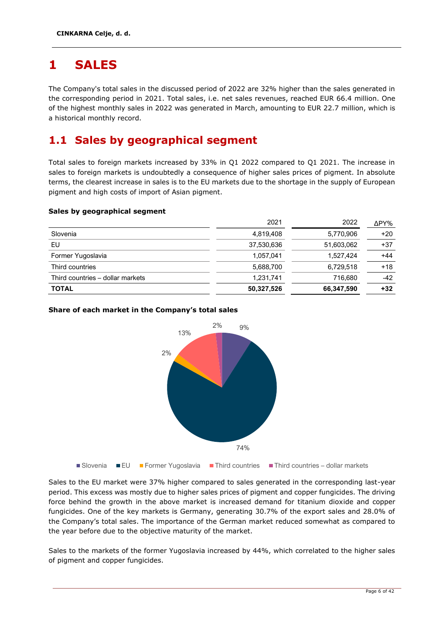## <span id="page-6-0"></span>**1 SALES**

The Company's total sales in the discussed period of 2022 are 32% higher than the sales generated in the corresponding period in 2021. Total sales, i.e. net sales revenues, reached EUR 66.4 million. One of the highest monthly sales in 2022 was generated in March, amounting to EUR 22.7 million, which is a historical monthly record.

### <span id="page-6-1"></span>**1.1 Sales by geographical segment**

Total sales to foreign markets increased by 33% in Q1 2022 compared to Q1 2021. The increase in sales to foreign markets is undoubtedly a consequence of higher sales prices of pigment. In absolute terms, the clearest increase in sales is to the EU markets due to the shortage in the supply of European pigment and high costs of import of Asian pigment.

### **Sales by geographical segment**

|                                  | 2021       | 2022       | ΔPY%  |
|----------------------------------|------------|------------|-------|
| Slovenia                         | 4,819,408  | 5,770,906  | $+20$ |
| EU                               | 37,530,636 | 51,603,062 | $+37$ |
| Former Yugoslavia                | 1,057,041  | 1,527,424  | $+44$ |
| Third countries                  | 5,688,700  | 6.729.518  | $+18$ |
| Third countries - dollar markets | 1,231,741  | 716.680    | -42   |
| <b>TOTAL</b>                     | 50,327,526 | 66,347,590 | $+32$ |
|                                  |            |            |       |

### **Share of each market in the Company's total sales**



Sales to the EU market were 37% higher compared to sales generated in the corresponding last-year period. This excess was mostly due to higher sales prices of pigment and copper fungicides. The driving force behind the growth in the above market is increased demand for titanium dioxide and copper fungicides. One of the key markets is Germany, generating 30.7% of the export sales and 28.0% of the Company's total sales. The importance of the German market reduced somewhat as compared to the year before due to the objective maturity of the market.

Sales to the markets of the former Yugoslavia increased by 44%, which correlated to the higher sales of pigment and copper fungicides.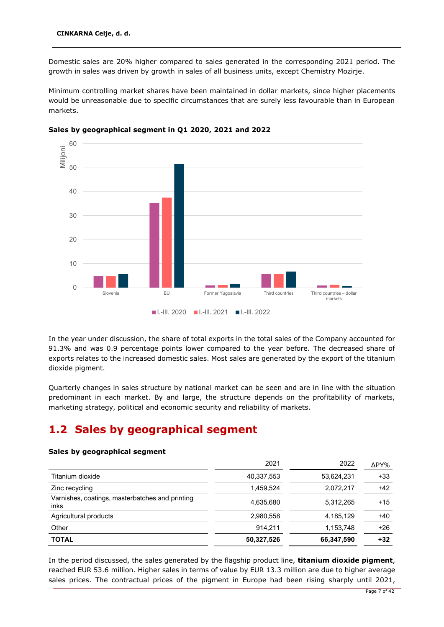Domestic sales are 20% higher compared to sales generated in the corresponding 2021 period. The growth in sales was driven by growth in sales of all business units, except Chemistry Mozirje.

Minimum controlling market shares have been maintained in dollar markets, since higher placements would be unreasonable due to specific circumstances that are surely less favourable than in European markets.



### **Sales by geographical segment in Q1 2020, 2021 and 2022**

In the year under discussion, the share of total exports in the total sales of the Company accounted for 91.3% and was 0.9 percentage points lower compared to the year before. The decreased share of exports relates to the increased domestic sales. Most sales are generated by the export of the titanium dioxide pigment.

Quarterly changes in sales structure by national market can be seen and are in line with the situation predominant in each market. By and large, the structure depends on the profitability of markets, marketing strategy, political and economic security and reliability of markets.

### <span id="page-7-0"></span>**1.2 Sales by geographical segment**

### **Sales by geographical segment**

|                                                         | 2021       | 2022       | ΔPY%  |
|---------------------------------------------------------|------------|------------|-------|
| Titanium dioxide                                        | 40,337,553 | 53,624,231 | $+33$ |
| Zinc recycling                                          | 1,459,524  | 2,072,217  | $+42$ |
| Varnishes, coatings, masterbatches and printing<br>inks | 4,635,680  | 5,312,265  | $+15$ |
| Agricultural products                                   | 2,980,558  | 4,185,129  | $+40$ |
| Other                                                   | 914.211    | 1,153,748  | $+26$ |
| <b>TOTAL</b>                                            | 50,327,526 | 66,347,590 | $+32$ |

In the period discussed, the sales generated by the flagship product line, **titanium dioxide pigment**, reached EUR 53.6 million. Higher sales in terms of value by EUR 13.3 million are due to higher average sales prices. The contractual prices of the pigment in Europe had been rising sharply until 2021,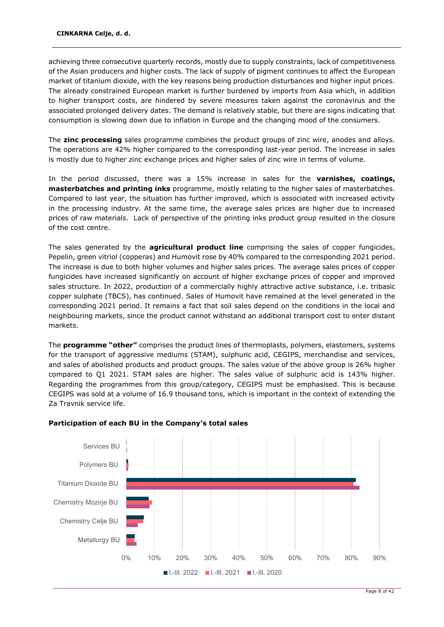achieving three consecutive quarterly records, mostly due to supply constraints, lack of competitiveness of the Asian producers and higher costs. The lack of supply of pigment continues to affect the European market of titanium dioxide, with the key reasons being production disturbances and higher input prices. The already constrained European market is further burdened by imports from Asia which, in addition to higher transport costs, are hindered by severe measures taken against the coronavirus and the associated prolonged delivery dates. The demand is relatively stable, but there are signs indicating that consumption is slowing down due to inflation in Europe and the changing mood of the consumers.

The **zinc processing** sales programme combines the product groups of zinc wire, anodes and alloys. The operations are 42% higher compared to the corresponding last-year period. The increase in sales is mostly due to higher zinc exchange prices and higher sales of zinc wire in terms of volume.

In the period discussed, there was a 15% increase in sales for the **varnishes, coatings, masterbatches and printing inks** programme, mostly relating to the higher sales of masterbatches. Compared to last year, the situation has further improved, which is associated with increased activity in the processing industry. At the same time, the average sales prices are higher due to increased prices of raw materials. Lack of perspective of the printing inks product group resulted in the closure of the cost centre.

The sales generated by the **agricultural product line** comprising the sales of copper fungicides, Pepelin, green vitriol (copperas) and Humovit rose by 40% compared to the corresponding 2021 period. The increase is due to both higher volumes and higher sales prices. The average sales prices of copper fungicides have increased significantly on account of higher exchange prices of copper and improved sales structure. In 2022, production of a commercially highly attractive active substance, i.e. tribasic copper sulphate (TBCS), has continued. Sales of Humovit have remained at the level generated in the corresponding 2021 period. It remains a fact that soil sales depend on the conditions in the local and neighbouring markets, since the product cannot withstand an additional transport cost to enter distant markets.

The **programme "other"** comprises the product lines of thermoplasts, polymers, elastomers, systems for the transport of aggressive mediums (STAM), sulphuric acid, CEGIPS, merchandise and services, and sales of abolished products and product groups. The sales value of the above group is 26% higher compared to Q1 2021. STAM sales are higher. The sales value of sulphuric acid is 143% higher. Regarding the programmes from this group/category, CEGIPS must be emphasised. This is because CEGIPS was sold at a volume of 16.9 thousand tons, which is important in the context of extending the Za Travnik service life.



### **Participation of each BU in the Company's total sales**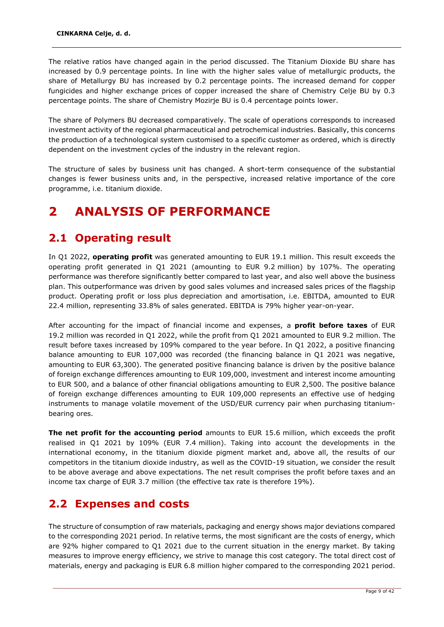The relative ratios have changed again in the period discussed. The Titanium Dioxide BU share has increased by 0.9 percentage points. In line with the higher sales value of metallurgic products, the share of Metallurgy BU has increased by 0.2 percentage points. The increased demand for copper fungicides and higher exchange prices of copper increased the share of Chemistry Celje BU by 0.3 percentage points. The share of Chemistry Mozirje BU is 0.4 percentage points lower.

The share of Polymers BU decreased comparatively. The scale of operations corresponds to increased investment activity of the regional pharmaceutical and petrochemical industries. Basically, this concerns the production of a technological system customised to a specific customer as ordered, which is directly dependent on the investment cycles of the industry in the relevant region.

The structure of sales by business unit has changed. A short-term consequence of the substantial changes is fewer business units and, in the perspective, increased relative importance of the core programme, i.e. titanium dioxide.

## <span id="page-9-0"></span>**2 ANALYSIS OF PERFORMANCE**

### <span id="page-9-1"></span>**2.1 Operating result**

In Q1 2022, **operating profit** was generated amounting to EUR 19.1 million. This result exceeds the operating profit generated in Q1 2021 (amounting to EUR 9.2 million) by 107%. The operating performance was therefore significantly better compared to last year, and also well above the business plan. This outperformance was driven by good sales volumes and increased sales prices of the flagship product. Operating profit or loss plus depreciation and amortisation, i.e. EBITDA, amounted to EUR 22.4 million, representing 33.8% of sales generated. EBITDA is 79% higher year-on-year.

After accounting for the impact of financial income and expenses, a **profit before taxes** of EUR 19.2 million was recorded in Q1 2022, while the profit from Q1 2021 amounted to EUR 9.2 million. The result before taxes increased by 109% compared to the year before. In Q1 2022, a positive financing balance amounting to EUR 107,000 was recorded (the financing balance in Q1 2021 was negative, amounting to EUR 63,300). The generated positive financing balance is driven by the positive balance of foreign exchange differences amounting to EUR 109,000, investment and interest income amounting to EUR 500, and a balance of other financial obligations amounting to EUR 2,500. The positive balance of foreign exchange differences amounting to EUR 109,000 represents an effective use of hedging instruments to manage volatile movement of the USD/EUR currency pair when purchasing titaniumbearing ores.

**The net profit for the accounting period** amounts to EUR 15.6 million, which exceeds the profit realised in Q1 2021 by 109% (EUR 7.4 million). Taking into account the developments in the international economy, in the titanium dioxide pigment market and, above all, the results of our competitors in the titanium dioxide industry, as well as the COVID-19 situation, we consider the result to be above average and above expectations. The net result comprises the profit before taxes and an income tax charge of EUR 3.7 million (the effective tax rate is therefore 19%).

### <span id="page-9-2"></span>**2.2 Expenses and costs**

The structure of consumption of raw materials, packaging and energy shows major deviations compared to the corresponding 2021 period. In relative terms, the most significant are the costs of energy, which are 92% higher compared to Q1 2021 due to the current situation in the energy market. By taking measures to improve energy efficiency, we strive to manage this cost category. The total direct cost of materials, energy and packaging is EUR 6.8 million higher compared to the corresponding 2021 period.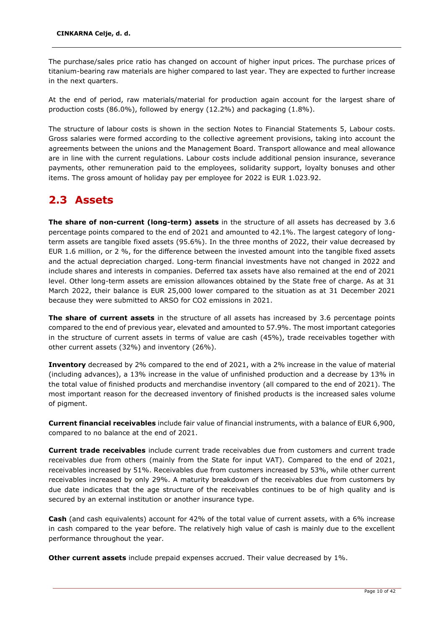The purchase/sales price ratio has changed on account of higher input prices. The purchase prices of titanium-bearing raw materials are higher compared to last year. They are expected to further increase in the next quarters.

At the end of period, raw materials/material for production again account for the largest share of production costs (86.0%), followed by energy (12.2%) and packaging (1.8%).

The structure of labour costs is shown in the section Notes to Financial Statements 5, Labour costs. Gross salaries were formed according to the collective agreement provisions, taking into account the agreements between the unions and the Management Board. Transport allowance and meal allowance are in line with the current regulations. Labour costs include additional pension insurance, severance payments, other remuneration paid to the employees, solidarity support, loyalty bonuses and other items. The gross amount of holiday pay per employee for 2022 is EUR 1.023.92.

### <span id="page-10-0"></span>**2.3 Assets**

**The share of non-current (long-term) assets** in the structure of all assets has decreased by 3.6 percentage points compared to the end of 2021 and amounted to 42.1%. The largest category of longterm assets are tangible fixed assets (95.6%). In the three months of 2022, their value decreased by EUR 1.6 million, or 2 %, for the difference between the invested amount into the tangible fixed assets and the actual depreciation charged. Long-term financial investments have not changed in 2022 and include shares and interests in companies. Deferred tax assets have also remained at the end of 2021 level. Other long-term assets are emission allowances obtained by the State free of charge. As at 31 March 2022, their balance is EUR 25,000 lower compared to the situation as at 31 December 2021 because they were submitted to ARSO for CO2 emissions in 2021.

**The share of current assets** in the structure of all assets has increased by 3.6 percentage points compared to the end of previous year, elevated and amounted to 57.9%. The most important categories in the structure of current assets in terms of value are cash (45%), trade receivables together with other current assets (32%) and inventory (26%).

**Inventory** decreased by 2% compared to the end of 2021, with a 2% increase in the value of material (including advances), a 13% increase in the value of unfinished production and a decrease by 13% in the total value of finished products and merchandise inventory (all compared to the end of 2021). The most important reason for the decreased inventory of finished products is the increased sales volume of pigment.

**Current financial receivables** include fair value of financial instruments, with a balance of EUR 6,900, compared to no balance at the end of 2021.

**Current trade receivables** include current trade receivables due from customers and current trade receivables due from others (mainly from the State for input VAT). Compared to the end of 2021, receivables increased by 51%. Receivables due from customers increased by 53%, while other current receivables increased by only 29%. A maturity breakdown of the receivables due from customers by due date indicates that the age structure of the receivables continues to be of high quality and is secured by an external institution or another insurance type.

**Cash** (and cash equivalents) account for 42% of the total value of current assets, with a 6% increase in cash compared to the year before. The relatively high value of cash is mainly due to the excellent performance throughout the year.

**Other current assets** include prepaid expenses accrued. Their value decreased by 1%.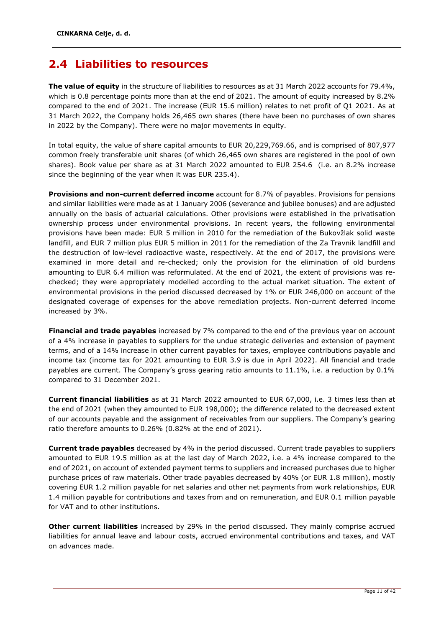### <span id="page-11-0"></span>**2.4 Liabilities to resources**

**The value of equity** in the structure of liabilities to resources as at 31 March 2022 accounts for 79.4%, which is 0.8 percentage points more than at the end of 2021. The amount of equity increased by 8.2% compared to the end of 2021. The increase (EUR 15.6 million) relates to net profit of Q1 2021. As at 31 March 2022, the Company holds 26,465 own shares (there have been no purchases of own shares in 2022 by the Company). There were no major movements in equity.

In total equity, the value of share capital amounts to EUR 20,229,769.66, and is comprised of 807,977 common freely transferable unit shares (of which 26,465 own shares are registered in the pool of own shares). Book value per share as at 31 March 2022 amounted to EUR 254.6 (i.e. an 8.2% increase since the beginning of the year when it was EUR 235.4).

**Provisions and non-current deferred income** account for 8.7% of payables. Provisions for pensions and similar liabilities were made as at 1 January 2006 (severance and jubilee bonuses) and are adjusted annually on the basis of actuarial calculations. Other provisions were established in the privatisation ownership process under environmental provisions. In recent years, the following environmental provisions have been made: EUR 5 million in 2010 for the remediation of the Bukovžlak solid waste landfill, and EUR 7 million plus EUR 5 million in 2011 for the remediation of the Za Travnik landfill and the destruction of low-level radioactive waste, respectively. At the end of 2017, the provisions were examined in more detail and re-checked; only the provision for the elimination of old burdens amounting to EUR 6.4 million was reformulated. At the end of 2021, the extent of provisions was rechecked; they were appropriately modelled according to the actual market situation. The extent of environmental provisions in the period discussed decreased by 1% or EUR 246,000 on account of the designated coverage of expenses for the above remediation projects. Non-current deferred income increased by 3%.

**Financial and trade payables** increased by 7% compared to the end of the previous year on account of a 4% increase in payables to suppliers for the undue strategic deliveries and extension of payment terms, and of a 14% increase in other current payables for taxes, employee contributions payable and income tax (income tax for 2021 amounting to EUR 3.9 is due in April 2022). All financial and trade payables are current. The Company's gross gearing ratio amounts to 11.1%, i.e. a reduction by 0.1% compared to 31 December 2021.

**Current financial liabilities** as at 31 March 2022 amounted to EUR 67,000, i.e. 3 times less than at the end of 2021 (when they amounted to EUR 198,000); the difference related to the decreased extent of our accounts payable and the assignment of receivables from our suppliers. The Company's gearing ratio therefore amounts to 0.26% (0.82% at the end of 2021).

**Current trade payables** decreased by 4% in the period discussed. Current trade payables to suppliers amounted to EUR 19.5 million as at the last day of March 2022, i.e. a 4% increase compared to the end of 2021, on account of extended payment terms to suppliers and increased purchases due to higher purchase prices of raw materials. Other trade payables decreased by 40% (or EUR 1.8 million), mostly covering EUR 1.2 million payable for net salaries and other net payments from work relationships, EUR 1.4 million payable for contributions and taxes from and on remuneration, and EUR 0.1 million payable for VAT and to other institutions.

**Other current liabilities** increased by 29% in the period discussed. They mainly comprise accrued liabilities for annual leave and labour costs, accrued environmental contributions and taxes, and VAT on advances made.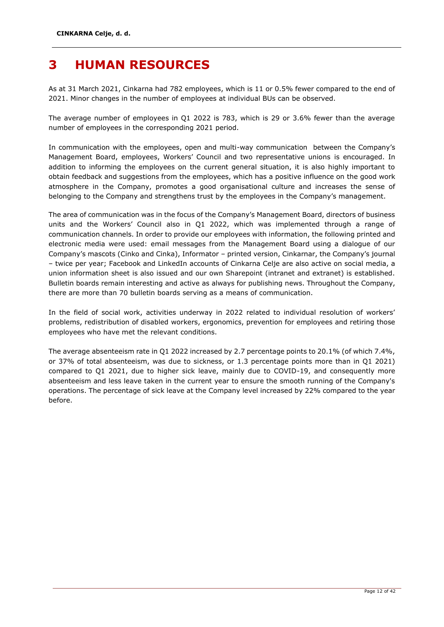## <span id="page-12-0"></span>**3 HUMAN RESOURCES**

As at 31 March 2021, Cinkarna had 782 employees, which is 11 or 0.5% fewer compared to the end of 2021. Minor changes in the number of employees at individual BUs can be observed.

The average number of employees in Q1 2022 is 783, which is 29 or 3.6% fewer than the average number of employees in the corresponding 2021 period.

In communication with the employees, open and multi-way communication between the Company's Management Board, employees, Workers' Council and two representative unions is encouraged. In addition to informing the employees on the current general situation, it is also highly important to obtain feedback and suggestions from the employees, which has a positive influence on the good work atmosphere in the Company, promotes a good organisational culture and increases the sense of belonging to the Company and strengthens trust by the employees in the Company's management.

The area of communication was in the focus of the Company's Management Board, directors of business units and the Workers' Council also in Q1 2022, which was implemented through a range of communication channels. In order to provide our employees with information, the following printed and electronic media were used: email messages from the Management Board using a dialogue of our Company's mascots (Cinko and Cinka), Informator – printed version, Cinkarnar, the Company's journal – twice per year; Facebook and LinkedIn accounts of Cinkarna Celje are also active on social media, a union information sheet is also issued and our own Sharepoint (intranet and extranet) is established. Bulletin boards remain interesting and active as always for publishing news. Throughout the Company, there are more than 70 bulletin boards serving as a means of communication.

In the field of social work, activities underway in 2022 related to individual resolution of workers' problems, redistribution of disabled workers, ergonomics, prevention for employees and retiring those employees who have met the relevant conditions.

The average absenteeism rate in Q1 2022 increased by 2.7 percentage points to 20.1% (of which 7.4%, or 37% of total absenteeism, was due to sickness, or 1.3 percentage points more than in Q1 2021) compared to Q1 2021, due to higher sick leave, mainly due to COVID-19, and consequently more absenteeism and less leave taken in the current year to ensure the smooth running of the Company's operations. The percentage of sick leave at the Company level increased by 22% compared to the year before.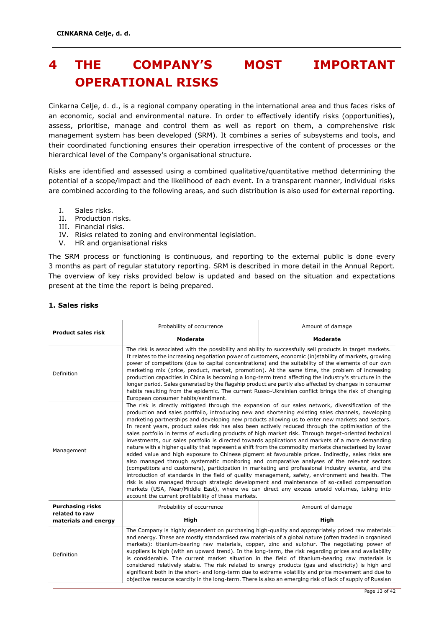## <span id="page-13-0"></span>**4 THE COMPANY'S MOST IMPORTANT OPERATIONAL RISKS**

Cinkarna Celje, d. d., is a regional company operating in the international area and thus faces risks of an economic, social and environmental nature. In order to effectively identify risks (opportunities), assess, prioritise, manage and control them as well as report on them, a comprehensive risk management system has been developed (SRM). It combines a series of subsystems and tools, and their coordinated functioning ensures their operation irrespective of the content of processes or the hierarchical level of the Company's organisational structure.

Risks are identified and assessed using a combined qualitative/quantitative method determining the potential of a scope/impact and the likelihood of each event. In a transparent manner, individual risks are combined according to the following areas, and such distribution is also used for external reporting.

- I. Sales risks.
- II. Production risks.
- III. Financial risks.
- IV. Risks related to zoning and environmental legislation.
- V. HR and organisational risks

The SRM process or functioning is continuous, and reporting to the external public is done every 3 months as part of regular statutory reporting. SRM is described in more detail in the Annual Report. The overview of key risks provided below is updated and based on the situation and expectations present at the time the report is being prepared.

| <b>Product sales risk</b>                                                                                                                                                                                                                                                                                                                                                                                                                                                                                                                                                                                                                                                                                                                                                                                     | Probability of occurrence                                                                                                                                                                                                                                                                                                                                                                                                                                                                                                                                                                                                                                                                                                                                                                                                                                                                                                                                                                                                                                                                                                                                                                                                                                                                                                                              | Amount of damage |  |
|---------------------------------------------------------------------------------------------------------------------------------------------------------------------------------------------------------------------------------------------------------------------------------------------------------------------------------------------------------------------------------------------------------------------------------------------------------------------------------------------------------------------------------------------------------------------------------------------------------------------------------------------------------------------------------------------------------------------------------------------------------------------------------------------------------------|--------------------------------------------------------------------------------------------------------------------------------------------------------------------------------------------------------------------------------------------------------------------------------------------------------------------------------------------------------------------------------------------------------------------------------------------------------------------------------------------------------------------------------------------------------------------------------------------------------------------------------------------------------------------------------------------------------------------------------------------------------------------------------------------------------------------------------------------------------------------------------------------------------------------------------------------------------------------------------------------------------------------------------------------------------------------------------------------------------------------------------------------------------------------------------------------------------------------------------------------------------------------------------------------------------------------------------------------------------|------------------|--|
|                                                                                                                                                                                                                                                                                                                                                                                                                                                                                                                                                                                                                                                                                                                                                                                                               | <b>Moderate</b>                                                                                                                                                                                                                                                                                                                                                                                                                                                                                                                                                                                                                                                                                                                                                                                                                                                                                                                                                                                                                                                                                                                                                                                                                                                                                                                                        | <b>Moderate</b>  |  |
| The risk is associated with the possibility and ability to successfully sell products in target markets.<br>It relates to the increasing negotiation power of customers, economic (in)stability of markets, growing<br>power of competitors (due to capital concentrations) and the suitability of the elements of our own<br>marketing mix (price, product, market, promotion). At the same time, the problem of increasing<br>Definition<br>production capacities in China is becoming a long-term trend affecting the industry's structure in the<br>longer period. Sales generated by the flagship product are partly also affected by changes in consumer<br>habits resulting from the epidemic. The current Russo-Ukrainian conflict brings the risk of changing<br>European consumer habits/sentiment. |                                                                                                                                                                                                                                                                                                                                                                                                                                                                                                                                                                                                                                                                                                                                                                                                                                                                                                                                                                                                                                                                                                                                                                                                                                                                                                                                                        |                  |  |
| Management                                                                                                                                                                                                                                                                                                                                                                                                                                                                                                                                                                                                                                                                                                                                                                                                    | The risk is directly mitigated through the expansion of our sales network, diversification of the<br>production and sales portfolio, introducing new and shortening existing sales channels, developing<br>marketing partnerships and developing new products allowing us to enter new markets and sectors.<br>In recent years, product sales risk has also been actively reduced through the optimisation of the<br>sales portfolio in terms of excluding products of high market risk. Through target-oriented technical<br>investments, our sales portfolio is directed towards applications and markets of a more demanding<br>nature with a higher quality that represent a shift from the commodity markets characterised by lower<br>added value and high exposure to Chinese pigment at favourable prices. Indirectly, sales risks are<br>also managed through systematic monitoring and comparative analyses of the relevant sectors<br>(competitors and customers), participation in marketing and professional industry events, and the<br>introduction of standards in the field of quality management, safety, environment and health. The<br>risk is also managed through strategic development and maintenance of so-called compensation<br>markets (USA, Near/Middle East), where we can direct any excess unsold volumes, taking into |                  |  |
| <b>Purchasing risks</b><br>related to raw                                                                                                                                                                                                                                                                                                                                                                                                                                                                                                                                                                                                                                                                                                                                                                     | Probability of occurrence                                                                                                                                                                                                                                                                                                                                                                                                                                                                                                                                                                                                                                                                                                                                                                                                                                                                                                                                                                                                                                                                                                                                                                                                                                                                                                                              | Amount of damage |  |
| materials and energy                                                                                                                                                                                                                                                                                                                                                                                                                                                                                                                                                                                                                                                                                                                                                                                          | High                                                                                                                                                                                                                                                                                                                                                                                                                                                                                                                                                                                                                                                                                                                                                                                                                                                                                                                                                                                                                                                                                                                                                                                                                                                                                                                                                   | High             |  |
| Definition                                                                                                                                                                                                                                                                                                                                                                                                                                                                                                                                                                                                                                                                                                                                                                                                    | The Company is highly dependent on purchasing high-quality and appropriately priced raw materials<br>and energy. These are mostly standardised raw materials of a global nature (often traded in organised<br>markets): titanium-bearing raw materials, copper, zinc and sulphur. The negotiating power of<br>suppliers is high (with an upward trend). In the long-term, the risk regarding prices and availability<br>is considerable. The current market situation in the field of titanium-bearing raw materials is<br>considered relatively stable. The risk related to energy products (gas and electricity) is high and<br>significant both in the short- and long-term due to extreme volatility and price movement and due to<br>objective resource scarcity in the long-term. There is also an emerging risk of lack of supply of Russian                                                                                                                                                                                                                                                                                                                                                                                                                                                                                                    |                  |  |

### **1. Sales risks**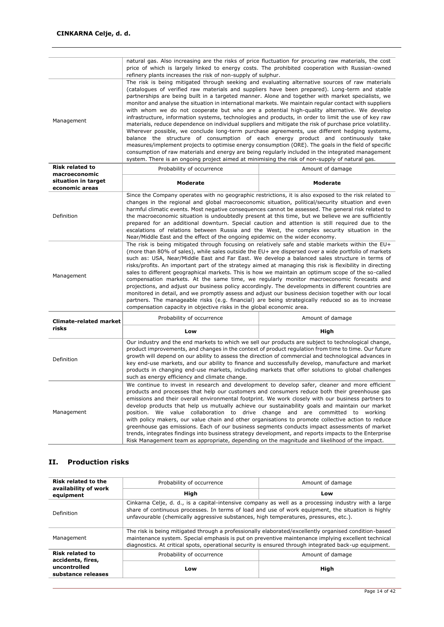|                                         | natural gas. Also increasing are the risks of price fluctuation for procuring raw materials, the cost<br>price of which is largely linked to energy costs. The prohibited cooperation with Russian-owned<br>refinery plants increases the risk of non-supply of sulphur.                                                                                                                                                                                                                                                                                                                                                                                                                                                                                                                                                                |                                                                                                                                                                                                                                                                                                                                                                                            |  |  |
|-----------------------------------------|-----------------------------------------------------------------------------------------------------------------------------------------------------------------------------------------------------------------------------------------------------------------------------------------------------------------------------------------------------------------------------------------------------------------------------------------------------------------------------------------------------------------------------------------------------------------------------------------------------------------------------------------------------------------------------------------------------------------------------------------------------------------------------------------------------------------------------------------|--------------------------------------------------------------------------------------------------------------------------------------------------------------------------------------------------------------------------------------------------------------------------------------------------------------------------------------------------------------------------------------------|--|--|
| Management                              | The risk is being mitigated through seeking and evaluating alternative sources of raw materials<br>partnerships are being built in a targeted manner. Alone and together with market specialists, we<br>monitor and analyse the situation in international markets. We maintain regular contact with suppliers<br>with whom we do not cooperate but who are a potential high-quality alternative. We develop<br>infrastructure, information systems, technologies and products, in order to limit the use of key raw<br>materials, reduce dependence on individual suppliers and mitigate the risk of purchase price volatility.<br>consumption of raw materials and energy are being regularly included in the integrated management<br>system. There is an ongoing project aimed at minimising the risk of non-supply of natural gas. | (catalogues of verified raw materials and suppliers have been prepared). Long-term and stable<br>Wherever possible, we conclude long-term purchase agreements, use different hedging systems,<br>balance the structure of consumption of each energy product and continuously take<br>measures/implement projects to optimise energy consumption (ORE). The goals in the field of specific |  |  |
| <b>Risk related to</b><br>macroeconomic | Probability of occurrence                                                                                                                                                                                                                                                                                                                                                                                                                                                                                                                                                                                                                                                                                                                                                                                                               | Amount of damage                                                                                                                                                                                                                                                                                                                                                                           |  |  |
| situation in target<br>economic areas   | <b>Moderate</b>                                                                                                                                                                                                                                                                                                                                                                                                                                                                                                                                                                                                                                                                                                                                                                                                                         | <b>Moderate</b>                                                                                                                                                                                                                                                                                                                                                                            |  |  |
| Definition                              | Since the Company operates with no geographic restrictions, it is also exposed to the risk related to<br>changes in the regional and global macroeconomic situation, political/security situation and even<br>harmful climatic events. Most negative conseguences cannot be assessed. The general risk related to<br>the macroeconomic situation is undoubtedly present at this time, but we believe we are sufficiently<br>prepared for an additional downturn. Special caution and attention is still required due to the<br>escalations of relations between Russia and the West, the complex security situation in the<br>Near/Middle East and the effect of the ongoing epidemic on the wider economy.                                                                                                                             |                                                                                                                                                                                                                                                                                                                                                                                            |  |  |
|                                         | The risk is being mitigated through focusing on relatively safe and stable markets within the EU+<br>(more than 80% of sales), while sales outside the EU+ are dispersed over a wide portfolio of markets<br>such as: USA, Near/Middle East and Far East. We develop a balanced sales structure in terms of<br>the contract of the contract of the contract of the contract of the contract of the contract of the contract of                                                                                                                                                                                                                                                                                                                                                                                                          |                                                                                                                                                                                                                                                                                                                                                                                            |  |  |

|            | risks/profits. An important part of the strategy aimed at managing this risk is flexibility in directing |
|------------|----------------------------------------------------------------------------------------------------------|
| Management | sales to different geographical markets. This is how we maintain an optimum scope of the so-called       |
|            | compensation markets. At the same time, we regularly monitor macroeconomic forecasts and                 |
|            | projections, and adjust our business policy accordingly. The developments in different countries are     |
|            | monitored in detail, and we promptly assess and adjust our business decision together with our local     |
|            | partners. The manageable risks (e.g. financial) are being strategically reduced so as to increase        |
|            | compensation capacity in objective risks in the global economic area.                                    |

| Climate-related market                                                                                                                                                                                                                                                                                                                                                                                                                                                                                                                                                                                                                                                                                                                                                                                                                                                                                                   | Probability of occurrence                                                                                                                                                                                                                                                                                                                                                                                                                                                                                                                                                      | Amount of damage |  |
|--------------------------------------------------------------------------------------------------------------------------------------------------------------------------------------------------------------------------------------------------------------------------------------------------------------------------------------------------------------------------------------------------------------------------------------------------------------------------------------------------------------------------------------------------------------------------------------------------------------------------------------------------------------------------------------------------------------------------------------------------------------------------------------------------------------------------------------------------------------------------------------------------------------------------|--------------------------------------------------------------------------------------------------------------------------------------------------------------------------------------------------------------------------------------------------------------------------------------------------------------------------------------------------------------------------------------------------------------------------------------------------------------------------------------------------------------------------------------------------------------------------------|------------------|--|
| risks                                                                                                                                                                                                                                                                                                                                                                                                                                                                                                                                                                                                                                                                                                                                                                                                                                                                                                                    | Low                                                                                                                                                                                                                                                                                                                                                                                                                                                                                                                                                                            | High             |  |
| Definition                                                                                                                                                                                                                                                                                                                                                                                                                                                                                                                                                                                                                                                                                                                                                                                                                                                                                                               | Our industry and the end markets to which we sell our products are subject to technological change,<br>product improvements, and changes in the context of product regulation from time to time. Our future<br>growth will depend on our ability to assess the direction of commercial and technological advances in<br>key end-use markets, and our ability to finance and successfully develop, manufacture and market<br>products in changing end-use markets, including markets that offer solutions to global challenges<br>such as energy efficiency and climate change. |                  |  |
| We continue to invest in research and development to develop safer, cleaner and more efficient<br>products and processes that help our customers and consumers reduce both their greenhouse gas<br>emissions and their overall environmental footprint. We work closely with our business partners to<br>develop products that help us mutually achieve our sustainability goals and maintain our market<br>Management<br>position. We value collaboration to drive change and are committed to working<br>with policy makers, our value chain and other organisations to promote collective action to reduce<br>greenhouse gas emissions. Each of our business segments conducts impact assessments of market<br>trends, integrates findings into business strategy development, and reports impacts to the Enterprise<br>Risk Management team as appropriate, depending on the magnitude and likelihood of the impact. |                                                                                                                                                                                                                                                                                                                                                                                                                                                                                                                                                                                |                  |  |

### **II. Production risks**

| Risk related to the<br>availability of work                                                                                                                                                                                                                                                                     | Probability of occurrence                                                                                                                                                                                                                                                                                            | Amount of damage |  |
|-----------------------------------------------------------------------------------------------------------------------------------------------------------------------------------------------------------------------------------------------------------------------------------------------------------------|----------------------------------------------------------------------------------------------------------------------------------------------------------------------------------------------------------------------------------------------------------------------------------------------------------------------|------------------|--|
| equipment                                                                                                                                                                                                                                                                                                       | High                                                                                                                                                                                                                                                                                                                 | Low              |  |
| Cinkarna Celje, d. d., is a capital-intensive company as well as a processing industry with a large<br>share of continuous processes. In terms of load and use of work equipment, the situation is highly<br>Definition<br>unfavourable (chemically aggressive substances, high temperatures, pressures, etc.). |                                                                                                                                                                                                                                                                                                                      |                  |  |
| Management                                                                                                                                                                                                                                                                                                      | The risk is being mitigated through a professionally elaborated/excellently organised condition-based<br>maintenance system. Special emphasis is put on preventive maintenance implying excellent technical<br>diagnostics. At critical spots, operational security is ensured through integrated back-up equipment. |                  |  |
| <b>Risk related to</b><br>accidents, fires,                                                                                                                                                                                                                                                                     | Probability of occurrence                                                                                                                                                                                                                                                                                            | Amount of damage |  |
| uncontrolled<br>substance releases                                                                                                                                                                                                                                                                              | Low                                                                                                                                                                                                                                                                                                                  | High             |  |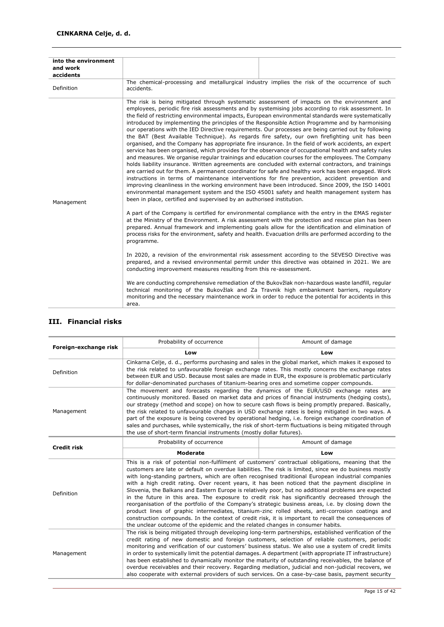| into the environment<br>and work<br>accidents |                                                                                                                                                                                                                                                                                                                                                                                                                                                                                                                                                                                                                                                                                                                                                                                                                                                                                                                                                                                                                                                                                                                                                                                                                                                                                                                                                                                                                                                                                                                                                                                                                                                                                                                                                      |
|-----------------------------------------------|------------------------------------------------------------------------------------------------------------------------------------------------------------------------------------------------------------------------------------------------------------------------------------------------------------------------------------------------------------------------------------------------------------------------------------------------------------------------------------------------------------------------------------------------------------------------------------------------------------------------------------------------------------------------------------------------------------------------------------------------------------------------------------------------------------------------------------------------------------------------------------------------------------------------------------------------------------------------------------------------------------------------------------------------------------------------------------------------------------------------------------------------------------------------------------------------------------------------------------------------------------------------------------------------------------------------------------------------------------------------------------------------------------------------------------------------------------------------------------------------------------------------------------------------------------------------------------------------------------------------------------------------------------------------------------------------------------------------------------------------------|
| Definition                                    | The chemical-processing and metallurgical industry implies the risk of the occurrence of such<br>accidents.                                                                                                                                                                                                                                                                                                                                                                                                                                                                                                                                                                                                                                                                                                                                                                                                                                                                                                                                                                                                                                                                                                                                                                                                                                                                                                                                                                                                                                                                                                                                                                                                                                          |
| Management                                    | The risk is being mitigated through systematic assessment of impacts on the environment and<br>employees, periodic fire risk assessments and by systemising jobs according to risk assessment. In<br>the field of restricting environmental impacts, European environmental standards were systematically<br>introduced by implementing the principles of the Responsible Action Programme and by harmonising<br>our operations with the IED Directive requirements. Our processes are being carried out by following<br>the BAT (Best Available Technique). As regards fire safety, our own firefighting unit has been<br>organised, and the Company has appropriate fire insurance. In the field of work accidents, an expert<br>service has been organised, which provides for the observance of occupational health and safety rules<br>and measures. We organise regular trainings and education courses for the employees. The Company<br>holds liability insurance. Written agreements are concluded with external contractors, and trainings<br>are carried out for them. A permanent coordinator for safe and healthy work has been engaged. Work<br>instructions in terms of maintenance interventions for fire prevention, accident prevention and<br>improving cleanliness in the working environment have been introduced. Since 2009, the ISO 14001<br>environmental management system and the ISO 45001 safety and health management system has<br>been in place, certified and supervised by an authorised institution.<br>A part of the Company is certified for environmental compliance with the entry in the EMAS register<br>at the Ministry of the Environment. A risk assessment with the protection and rescue plan has been |
|                                               | prepared. Annual framework and implementing goals allow for the identification and elimination of<br>process risks for the environment, safety and health. Evacuation drills are performed according to the<br>programme.                                                                                                                                                                                                                                                                                                                                                                                                                                                                                                                                                                                                                                                                                                                                                                                                                                                                                                                                                                                                                                                                                                                                                                                                                                                                                                                                                                                                                                                                                                                            |
|                                               | In 2020, a revision of the environmental risk assessment according to the SEVESO Directive was<br>prepared, and a revised environmental permit under this directive was obtained in 2021. We are<br>conducting improvement measures resulting from this re-assessment.                                                                                                                                                                                                                                                                                                                                                                                                                                                                                                                                                                                                                                                                                                                                                                                                                                                                                                                                                                                                                                                                                                                                                                                                                                                                                                                                                                                                                                                                               |
|                                               | We are conducting comprehensive remediation of the Bukovžlak non-hazardous waste landfill, regular<br>technical monitoring of the Bukovžlak and Za Travnik high embankment barriers, regulatory<br>monitoring and the necessary maintenance work in order to reduce the potential for accidents in this<br>area.                                                                                                                                                                                                                                                                                                                                                                                                                                                                                                                                                                                                                                                                                                                                                                                                                                                                                                                                                                                                                                                                                                                                                                                                                                                                                                                                                                                                                                     |

| Foreign-exchange risk                                                                                                                                                                                                                                                                                                                                                                                                                                                                                                                                                                                                                                                                                                                                                                                                                                                                                                                                                                                                                                | Probability of occurrence                                                                                                                                                                                                                                                                                                                                                                                                                                                                                                                                                                                                                                                                    | Amount of damage                                                                                                                                                                                                                                                                                                                                                                                                                                                                                                                                                                                                                              |  |
|------------------------------------------------------------------------------------------------------------------------------------------------------------------------------------------------------------------------------------------------------------------------------------------------------------------------------------------------------------------------------------------------------------------------------------------------------------------------------------------------------------------------------------------------------------------------------------------------------------------------------------------------------------------------------------------------------------------------------------------------------------------------------------------------------------------------------------------------------------------------------------------------------------------------------------------------------------------------------------------------------------------------------------------------------|----------------------------------------------------------------------------------------------------------------------------------------------------------------------------------------------------------------------------------------------------------------------------------------------------------------------------------------------------------------------------------------------------------------------------------------------------------------------------------------------------------------------------------------------------------------------------------------------------------------------------------------------------------------------------------------------|-----------------------------------------------------------------------------------------------------------------------------------------------------------------------------------------------------------------------------------------------------------------------------------------------------------------------------------------------------------------------------------------------------------------------------------------------------------------------------------------------------------------------------------------------------------------------------------------------------------------------------------------------|--|
|                                                                                                                                                                                                                                                                                                                                                                                                                                                                                                                                                                                                                                                                                                                                                                                                                                                                                                                                                                                                                                                      | Low                                                                                                                                                                                                                                                                                                                                                                                                                                                                                                                                                                                                                                                                                          | Low                                                                                                                                                                                                                                                                                                                                                                                                                                                                                                                                                                                                                                           |  |
| Definition                                                                                                                                                                                                                                                                                                                                                                                                                                                                                                                                                                                                                                                                                                                                                                                                                                                                                                                                                                                                                                           | Cinkarna Celje, d. d., performs purchasing and sales in the global market, which makes it exposed to<br>the risk related to unfavourable foreign exchange rates. This mostly concerns the exchange rates<br>between EUR and USD. Because most sales are made in EUR, the exposure is problematic particularly<br>for dollar-denominated purchases of titanium-bearing ores and sometime copper compounds.                                                                                                                                                                                                                                                                                    |                                                                                                                                                                                                                                                                                                                                                                                                                                                                                                                                                                                                                                               |  |
| Management                                                                                                                                                                                                                                                                                                                                                                                                                                                                                                                                                                                                                                                                                                                                                                                                                                                                                                                                                                                                                                           | The movement and forecasts regarding the dynamics of the EUR/USD exchange rates are<br>continuously monitored. Based on market data and prices of financial instruments (hedging costs),<br>our strategy (method and scope) on how to secure cash flows is being promptly prepared. Basically,<br>the risk related to unfavourable changes in USD exchange rates is being mitigated in two ways. A<br>part of the exposure is being covered by operational hedging, i.e. foreign exchange coordination of<br>sales and purchases, while systemically, the risk of short-term fluctuations is being mitigated through<br>the use of short-term financial instruments (mostly dollar futures). |                                                                                                                                                                                                                                                                                                                                                                                                                                                                                                                                                                                                                                               |  |
| <b>Credit risk</b>                                                                                                                                                                                                                                                                                                                                                                                                                                                                                                                                                                                                                                                                                                                                                                                                                                                                                                                                                                                                                                   | Probability of occurrence                                                                                                                                                                                                                                                                                                                                                                                                                                                                                                                                                                                                                                                                    | Amount of damage                                                                                                                                                                                                                                                                                                                                                                                                                                                                                                                                                                                                                              |  |
|                                                                                                                                                                                                                                                                                                                                                                                                                                                                                                                                                                                                                                                                                                                                                                                                                                                                                                                                                                                                                                                      | <b>Moderate</b>                                                                                                                                                                                                                                                                                                                                                                                                                                                                                                                                                                                                                                                                              | Low                                                                                                                                                                                                                                                                                                                                                                                                                                                                                                                                                                                                                                           |  |
| This is a risk of potential non-fulfilment of customers' contractual obligations, meaning that the<br>customers are late or default on overdue liabilities. The risk is limited, since we do business mostly<br>with long-standing partners, which are often recognised traditional European industrial companies<br>with a high credit rating. Over recent years, it has been noticed that the payment discipline in<br>Slovenia, the Balkans and Eastern Europe is relatively poor, but no additional problems are expected<br>Definition<br>in the future in this area. The exposure to credit risk has significantly decreased through the<br>reorganisation of the portfolio of the Company's strategic business areas, i.e. by closing down the<br>product lines of graphic intermediates, titanium-zinc rolled sheets, anti-corrosion coatings and<br>construction compounds. In the context of credit risk, it is important to recall the consequences of<br>the unclear outcome of the epidemic and the related changes in consumer habits. |                                                                                                                                                                                                                                                                                                                                                                                                                                                                                                                                                                                                                                                                                              |                                                                                                                                                                                                                                                                                                                                                                                                                                                                                                                                                                                                                                               |  |
| Management                                                                                                                                                                                                                                                                                                                                                                                                                                                                                                                                                                                                                                                                                                                                                                                                                                                                                                                                                                                                                                           | credit rating of new domestic and foreign customers, selection of reliable customers, periodic                                                                                                                                                                                                                                                                                                                                                                                                                                                                                                                                                                                               | The risk is being mitigated through developing long-term partnerships, established verification of the<br>monitoring and verification of our customers' business status. We also use a system of credit limits<br>in order to systemically limit the potential damages. A department (with appropriate IT infrastructure)<br>has been established to dynamically monitor the maturity of outstanding receivables, the balance of<br>overdue receivables and their recovery. Regarding mediation, judicial and non-judicial recovers, we<br>also cooperate with external providers of such services. On a case-by-case basis, payment security |  |

### **III. Financial risks**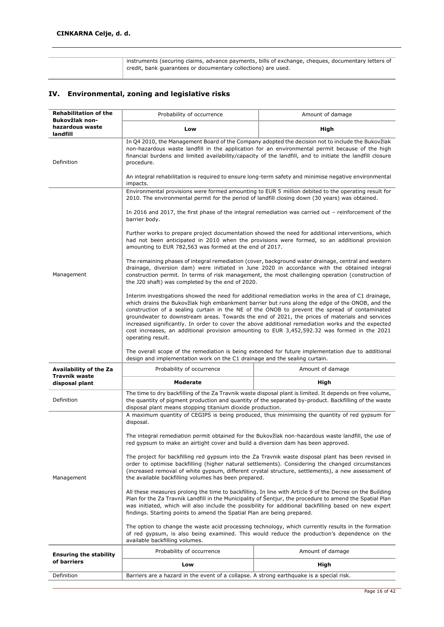instruments (securing claims, advance payments, bills of exchange, cheques, documentary letters of credit, bank guarantees or documentary collections) are used.

### **IV. Environmental, zoning and legislative risks**

| <b>Rehabilitation of the</b><br>Bukovžlak non- | Probability of occurrence                                                                                                                                                                                                                                                                                                                                                                                                                                                                                                                                                                                                            | Amount of damage                                                                                                                                                                                                                                                                                                              |  |  |  |  |  |  |  |
|------------------------------------------------|--------------------------------------------------------------------------------------------------------------------------------------------------------------------------------------------------------------------------------------------------------------------------------------------------------------------------------------------------------------------------------------------------------------------------------------------------------------------------------------------------------------------------------------------------------------------------------------------------------------------------------------|-------------------------------------------------------------------------------------------------------------------------------------------------------------------------------------------------------------------------------------------------------------------------------------------------------------------------------|--|--|--|--|--|--|--|
| hazardous waste                                | Low                                                                                                                                                                                                                                                                                                                                                                                                                                                                                                                                                                                                                                  | High                                                                                                                                                                                                                                                                                                                          |  |  |  |  |  |  |  |
| landfill                                       |                                                                                                                                                                                                                                                                                                                                                                                                                                                                                                                                                                                                                                      |                                                                                                                                                                                                                                                                                                                               |  |  |  |  |  |  |  |
| Definition                                     | In Q4 2010, the Management Board of the Company adopted the decision not to include the Bukovžlak<br>non-hazardous waste landfill in the application for an environmental permit because of the high<br>financial burdens and limited availability/capacity of the landfill, and to initiate the landfill closure<br>procedure.                                                                                                                                                                                                                                                                                                      |                                                                                                                                                                                                                                                                                                                               |  |  |  |  |  |  |  |
|                                                | An integral rehabilitation is required to ensure long-term safety and minimise negative environmental<br>impacts.                                                                                                                                                                                                                                                                                                                                                                                                                                                                                                                    |                                                                                                                                                                                                                                                                                                                               |  |  |  |  |  |  |  |
|                                                | 2010. The environmental permit for the period of landfill closing down (30 years) was obtained.                                                                                                                                                                                                                                                                                                                                                                                                                                                                                                                                      | Environmental provisions were formed amounting to EUR 5 million debited to the operating result for                                                                                                                                                                                                                           |  |  |  |  |  |  |  |
|                                                | barrier body.                                                                                                                                                                                                                                                                                                                                                                                                                                                                                                                                                                                                                        | In 2016 and 2017, the first phase of the integral remediation was carried out – reinforcement of the                                                                                                                                                                                                                          |  |  |  |  |  |  |  |
|                                                | amounting to EUR 782,563 was formed at the end of 2017.                                                                                                                                                                                                                                                                                                                                                                                                                                                                                                                                                                              | Further works to prepare project documentation showed the need for additional interventions, which<br>had not been anticipated in 2010 when the provisions were formed, so an additional provision                                                                                                                            |  |  |  |  |  |  |  |
| Management                                     | the J20 shaft) was completed by the end of 2020.                                                                                                                                                                                                                                                                                                                                                                                                                                                                                                                                                                                     | The remaining phases of integral remediation (cover, background water drainage, central and western<br>drainage, diversion dam) were initiated in June 2020 in accordance with the obtained integral<br>construction permit. In terms of risk management, the most challenging operation (construction of                     |  |  |  |  |  |  |  |
|                                                | Interim investigations showed the need for additional remediation works in the area of C1 drainage,<br>which drains the Bukovžlak high embankment barrier but runs along the edge of the ONOB, and the<br>construction of a sealing curtain in the NE of the ONOB to prevent the spread of contaminated<br>groundwater to downstream areas. Towards the end of 2021, the prices of materials and services<br>increased significantly. In order to cover the above additional remediation works and the expected<br>cost increases, an additional provision amounting to EUR 3,452,592.32 was formed in the 2021<br>operating result. |                                                                                                                                                                                                                                                                                                                               |  |  |  |  |  |  |  |
|                                                | The overall scope of the remediation is being extended for future implementation due to additional<br>design and implementation work on the C1 drainage and the sealing curtain.                                                                                                                                                                                                                                                                                                                                                                                                                                                     |                                                                                                                                                                                                                                                                                                                               |  |  |  |  |  |  |  |
|                                                |                                                                                                                                                                                                                                                                                                                                                                                                                                                                                                                                                                                                                                      |                                                                                                                                                                                                                                                                                                                               |  |  |  |  |  |  |  |
| Availability of the Za                         | Probability of occurrence                                                                                                                                                                                                                                                                                                                                                                                                                                                                                                                                                                                                            | Amount of damage                                                                                                                                                                                                                                                                                                              |  |  |  |  |  |  |  |
| <b>Travnik waste</b><br>disposal plant         | <b>Moderate</b>                                                                                                                                                                                                                                                                                                                                                                                                                                                                                                                                                                                                                      | High                                                                                                                                                                                                                                                                                                                          |  |  |  |  |  |  |  |
| Definition                                     | disposal plant means stopping titanium dioxide production.                                                                                                                                                                                                                                                                                                                                                                                                                                                                                                                                                                           | The time to dry backfilling of the Za Travnik waste disposal plant is limited. It depends on free volume,<br>the quantity of pigment production and quantity of the separated by-product. Backfilling of the waste                                                                                                            |  |  |  |  |  |  |  |
|                                                | disposal.                                                                                                                                                                                                                                                                                                                                                                                                                                                                                                                                                                                                                            | A maximum quantity of CEGIPS is being produced, thus minimising the quantity of red gypsum for                                                                                                                                                                                                                                |  |  |  |  |  |  |  |
|                                                | red gypsum to make an airtight cover and build a diversion dam has been approved.                                                                                                                                                                                                                                                                                                                                                                                                                                                                                                                                                    | The integral remediation permit obtained for the Bukovžlak non-hazardous waste landfill, the use of                                                                                                                                                                                                                           |  |  |  |  |  |  |  |
| Management                                     | the available backfilling volumes has been prepared.                                                                                                                                                                                                                                                                                                                                                                                                                                                                                                                                                                                 | The project for backfilling red gypsum into the Za Travnik waste disposal plant has been revised in<br>order to optimise backfilling (higher natural settlements). Considering the changed circumstances<br>(increased removal of white gypsum, different crystal structure, settlements), a new assessment of                |  |  |  |  |  |  |  |
|                                                | findings. Starting points to amend the Spatial Plan are being prepared.                                                                                                                                                                                                                                                                                                                                                                                                                                                                                                                                                              | All these measures prolong the time to backfilling. In line with Article 9 of the Decree on the Building<br>Plan for the Za Travnik Landfill in the Municipality of Šentjur, the procedure to amend the Spatial Plan<br>was initiated, which will also include the possibility for additional backfilling based on new expert |  |  |  |  |  |  |  |
|                                                | available backfilling volumes.                                                                                                                                                                                                                                                                                                                                                                                                                                                                                                                                                                                                       | The option to change the waste acid processing technology, which currently results in the formation<br>of red gypsum, is also being examined. This would reduce the production's dependence on the                                                                                                                            |  |  |  |  |  |  |  |
| <b>Ensuring the stability</b>                  | Probability of occurrence                                                                                                                                                                                                                                                                                                                                                                                                                                                                                                                                                                                                            | Amount of damage                                                                                                                                                                                                                                                                                                              |  |  |  |  |  |  |  |
| of barriers                                    | Low                                                                                                                                                                                                                                                                                                                                                                                                                                                                                                                                                                                                                                  | High                                                                                                                                                                                                                                                                                                                          |  |  |  |  |  |  |  |
| Definition                                     | Barriers are a hazard in the event of a collapse. A strong earthquake is a special risk.                                                                                                                                                                                                                                                                                                                                                                                                                                                                                                                                             |                                                                                                                                                                                                                                                                                                                               |  |  |  |  |  |  |  |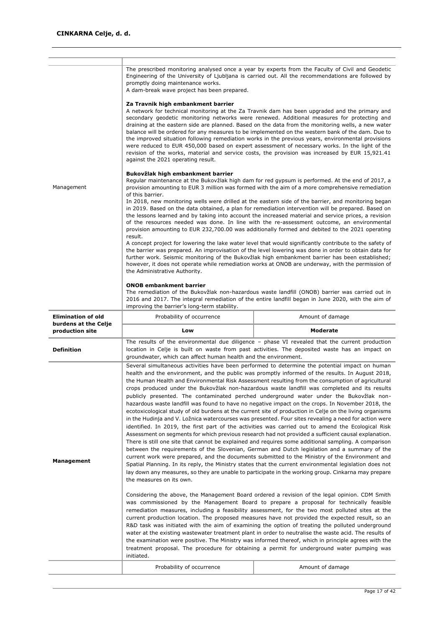| The prescribed monitoring analysed once a year by experts from the Faculty of Civil and Geodetic<br>Engineering of the University of Ljubljana is carried out. All the recommendations are followed by<br>promptly doing maintenance works.<br>A dam-break wave project has been prepared.<br>Za Travnik high embankment barrier<br>A network for technical monitoring at the Za Travnik dam has been upgraded and the primary and<br>secondary geodetic monitoring networks were renewed. Additional measures for protecting and<br>draining at the eastern side are planned. Based on the data from the monitoring wells, a new water<br>balance will be ordered for any measures to be implemented on the western bank of the dam. Due to<br>the improved situation following remediation works in the previous years, environmental provisions<br>were reduced to EUR 450,000 based on expert assessment of necessary works. In the light of the<br>revision of the works, material and service costs, the provision was increased by EUR 15,921.41<br>against the 2021 operating result.<br>Bukovžlak high embankment barrier<br>Regular maintenance at the Bukovžlak high dam for red gypsum is performed. At the end of 2017, a<br>Management<br>provision amounting to EUR 3 million was formed with the aim of a more comprehensive remediation<br>of this barrier.<br>In 2018, new monitoring wells were drilled at the eastern side of the barrier, and monitoring began<br>in 2019. Based on the data obtained, a plan for remediation intervention will be prepared. Based on<br>the lessons learned and by taking into account the increased material and service prices, a revision<br>of the resources needed was done. In line with the re-assessment outcome, an environmental<br>provision amounting to EUR 232,700.00 was additionally formed and debited to the 2021 operating<br>result.<br>A concept project for lowering the lake water level that would significantly contribute to the safety of<br>the barrier was prepared. An improvisation of the level lowering was done in order to obtain data for<br>further work. Seismic monitoring of the Bukovžlak high embankment barrier has been established;<br>however, it does not operate while remediation works at ONOB are underway, with the permission of<br>the Administrative Authority.<br><b>ONOB embankment barrier</b><br>The remediation of the Bukovžlak non-hazardous waste landfill (ONOB) barrier was carried out in<br>2016 and 2017. The integral remediation of the entire landfill began in June 2020, with the aim of<br>improving the barrier's long-term stability.<br><b>Elimination of old</b><br>Probability of occurrence<br>Amount of damage<br>burdens at the Celje<br>Low<br>Moderate<br>production site<br>The results of the environmental due diligence $-$ phase VI revealed that the current production<br>location in Celje is built on waste from past activities. The deposited waste has an impact on<br><b>Definition</b><br>groundwater, which can affect human health and the environment.<br>Several simultaneous activities have been performed to determine the potential impact on human<br>health and the environment, and the public was promptly informed of the results. In August 2018,<br>the Human Health and Environmental Risk Assessment resulting from the consumption of agricultural<br>crops produced under the Bukovžlak non-hazardous waste landfill was completed and its results<br>publicly presented. The contaminated perched underground water under the Bukovžlak non-<br>hazardous waste landfill was found to have no negative impact on the crops. In November 2018, the<br>ecotoxicological study of old burdens at the current site of production in Celje on the living organisms<br>in the Hudinja and V. Ložnica watercourses was presented. Four sites revealing a need for action were<br>identified. In 2019, the first part of the activities was carried out to amend the Ecological Risk<br>Assessment on segments for which previous research had not provided a sufficient causal explanation.<br>There is still one site that cannot be explained and requires some additional sampling. A comparison<br>between the requirements of the Slovenian, German and Dutch legislation and a summary of the<br>current work were prepared, and the documents submitted to the Ministry of the Environment and<br>Management<br>Spatial Planning. In its reply, the Ministry states that the current environmental legislation does not<br>lay down any measures, so they are unable to participate in the working group. Cinkarna may prepare<br>the measures on its own.<br>Considering the above, the Management Board ordered a revision of the legal opinion. CDM Smith<br>was commissioned by the Management Board to prepare a proposal for technically feasible<br>remediation measures, including a feasibility assessment, for the two most polluted sites at the<br>current production location. The proposed measures have not provided the expected result, so an<br>R&D task was initiated with the aim of examining the option of treating the polluted underground<br>water at the existing wastewater treatment plant in order to neutralise the waste acid. The results of<br>the examination were positive. The Ministry was informed thereof, which in principle agrees with the<br>treatment proposal. The procedure for obtaining a permit for underground water pumping was<br>initiated.<br>Probability of occurrence<br>Amount of damage |  |  |  |  |  |  |
|-------------------------------------------------------------------------------------------------------------------------------------------------------------------------------------------------------------------------------------------------------------------------------------------------------------------------------------------------------------------------------------------------------------------------------------------------------------------------------------------------------------------------------------------------------------------------------------------------------------------------------------------------------------------------------------------------------------------------------------------------------------------------------------------------------------------------------------------------------------------------------------------------------------------------------------------------------------------------------------------------------------------------------------------------------------------------------------------------------------------------------------------------------------------------------------------------------------------------------------------------------------------------------------------------------------------------------------------------------------------------------------------------------------------------------------------------------------------------------------------------------------------------------------------------------------------------------------------------------------------------------------------------------------------------------------------------------------------------------------------------------------------------------------------------------------------------------------------------------------------------------------------------------------------------------------------------------------------------------------------------------------------------------------------------------------------------------------------------------------------------------------------------------------------------------------------------------------------------------------------------------------------------------------------------------------------------------------------------------------------------------------------------------------------------------------------------------------------------------------------------------------------------------------------------------------------------------------------------------------------------------------------------------------------------------------------------------------------------------------------------------------------------------------------------------------------------------------------------------------------------------------------------------------------------------------------------------------------------------------------------------------------------------------------------------------------------------------------------------------------------------------------------------------------------------------------------------------------------------------------------------------------------------------------------------------------------------------------------------------------------------------------------------------------------------------------------------------------------------------------------------------------------------------------------------------------------------------------------------------------------------------------------------------------------------------------------------------------------------------------------------------------------------------------------------------------------------------------------------------------------------------------------------------------------------------------------------------------------------------------------------------------------------------------------------------------------------------------------------------------------------------------------------------------------------------------------------------------------------------------------------------------------------------------------------------------------------------------------------------------------------------------------------------------------------------------------------------------------------------------------------------------------------------------------------------------------------------------------------------------------------------------------------------------------------------------------------------------------------------------------------------------------------------------------------------------------------------------------------------------------------------------------------------------------------------------------------------------------------------------------------------------------------------------------------------------------------------------------------------------------------------------------------------------------------------------------------------------------------------------------------------------------------------------------------------------------------------------------------------------------------------------------------------------------------------------------------------------------------------------------------------------------------------------------------------------------------------------------------------------------------|--|--|--|--|--|--|
|                                                                                                                                                                                                                                                                                                                                                                                                                                                                                                                                                                                                                                                                                                                                                                                                                                                                                                                                                                                                                                                                                                                                                                                                                                                                                                                                                                                                                                                                                                                                                                                                                                                                                                                                                                                                                                                                                                                                                                                                                                                                                                                                                                                                                                                                                                                                                                                                                                                                                                                                                                                                                                                                                                                                                                                                                                                                                                                                                                                                                                                                                                                                                                                                                                                                                                                                                                                                                                                                                                                                                                                                                                                                                                                                                                                                                                                                                                                                                                                                                                                                                                                                                                                                                                                                                                                                                                                                                                                                                                                                                                                                                                                                                                                                                                                                                                                                                                                                                                                                                                                                                                                                                                                                                                                                                                                                                                                                                                                                                                                                                                                                                               |  |  |  |  |  |  |
|                                                                                                                                                                                                                                                                                                                                                                                                                                                                                                                                                                                                                                                                                                                                                                                                                                                                                                                                                                                                                                                                                                                                                                                                                                                                                                                                                                                                                                                                                                                                                                                                                                                                                                                                                                                                                                                                                                                                                                                                                                                                                                                                                                                                                                                                                                                                                                                                                                                                                                                                                                                                                                                                                                                                                                                                                                                                                                                                                                                                                                                                                                                                                                                                                                                                                                                                                                                                                                                                                                                                                                                                                                                                                                                                                                                                                                                                                                                                                                                                                                                                                                                                                                                                                                                                                                                                                                                                                                                                                                                                                                                                                                                                                                                                                                                                                                                                                                                                                                                                                                                                                                                                                                                                                                                                                                                                                                                                                                                                                                                                                                                                                               |  |  |  |  |  |  |
|                                                                                                                                                                                                                                                                                                                                                                                                                                                                                                                                                                                                                                                                                                                                                                                                                                                                                                                                                                                                                                                                                                                                                                                                                                                                                                                                                                                                                                                                                                                                                                                                                                                                                                                                                                                                                                                                                                                                                                                                                                                                                                                                                                                                                                                                                                                                                                                                                                                                                                                                                                                                                                                                                                                                                                                                                                                                                                                                                                                                                                                                                                                                                                                                                                                                                                                                                                                                                                                                                                                                                                                                                                                                                                                                                                                                                                                                                                                                                                                                                                                                                                                                                                                                                                                                                                                                                                                                                                                                                                                                                                                                                                                                                                                                                                                                                                                                                                                                                                                                                                                                                                                                                                                                                                                                                                                                                                                                                                                                                                                                                                                                                               |  |  |  |  |  |  |
|                                                                                                                                                                                                                                                                                                                                                                                                                                                                                                                                                                                                                                                                                                                                                                                                                                                                                                                                                                                                                                                                                                                                                                                                                                                                                                                                                                                                                                                                                                                                                                                                                                                                                                                                                                                                                                                                                                                                                                                                                                                                                                                                                                                                                                                                                                                                                                                                                                                                                                                                                                                                                                                                                                                                                                                                                                                                                                                                                                                                                                                                                                                                                                                                                                                                                                                                                                                                                                                                                                                                                                                                                                                                                                                                                                                                                                                                                                                                                                                                                                                                                                                                                                                                                                                                                                                                                                                                                                                                                                                                                                                                                                                                                                                                                                                                                                                                                                                                                                                                                                                                                                                                                                                                                                                                                                                                                                                                                                                                                                                                                                                                                               |  |  |  |  |  |  |
|                                                                                                                                                                                                                                                                                                                                                                                                                                                                                                                                                                                                                                                                                                                                                                                                                                                                                                                                                                                                                                                                                                                                                                                                                                                                                                                                                                                                                                                                                                                                                                                                                                                                                                                                                                                                                                                                                                                                                                                                                                                                                                                                                                                                                                                                                                                                                                                                                                                                                                                                                                                                                                                                                                                                                                                                                                                                                                                                                                                                                                                                                                                                                                                                                                                                                                                                                                                                                                                                                                                                                                                                                                                                                                                                                                                                                                                                                                                                                                                                                                                                                                                                                                                                                                                                                                                                                                                                                                                                                                                                                                                                                                                                                                                                                                                                                                                                                                                                                                                                                                                                                                                                                                                                                                                                                                                                                                                                                                                                                                                                                                                                                               |  |  |  |  |  |  |
|                                                                                                                                                                                                                                                                                                                                                                                                                                                                                                                                                                                                                                                                                                                                                                                                                                                                                                                                                                                                                                                                                                                                                                                                                                                                                                                                                                                                                                                                                                                                                                                                                                                                                                                                                                                                                                                                                                                                                                                                                                                                                                                                                                                                                                                                                                                                                                                                                                                                                                                                                                                                                                                                                                                                                                                                                                                                                                                                                                                                                                                                                                                                                                                                                                                                                                                                                                                                                                                                                                                                                                                                                                                                                                                                                                                                                                                                                                                                                                                                                                                                                                                                                                                                                                                                                                                                                                                                                                                                                                                                                                                                                                                                                                                                                                                                                                                                                                                                                                                                                                                                                                                                                                                                                                                                                                                                                                                                                                                                                                                                                                                                                               |  |  |  |  |  |  |
|                                                                                                                                                                                                                                                                                                                                                                                                                                                                                                                                                                                                                                                                                                                                                                                                                                                                                                                                                                                                                                                                                                                                                                                                                                                                                                                                                                                                                                                                                                                                                                                                                                                                                                                                                                                                                                                                                                                                                                                                                                                                                                                                                                                                                                                                                                                                                                                                                                                                                                                                                                                                                                                                                                                                                                                                                                                                                                                                                                                                                                                                                                                                                                                                                                                                                                                                                                                                                                                                                                                                                                                                                                                                                                                                                                                                                                                                                                                                                                                                                                                                                                                                                                                                                                                                                                                                                                                                                                                                                                                                                                                                                                                                                                                                                                                                                                                                                                                                                                                                                                                                                                                                                                                                                                                                                                                                                                                                                                                                                                                                                                                                                               |  |  |  |  |  |  |
|                                                                                                                                                                                                                                                                                                                                                                                                                                                                                                                                                                                                                                                                                                                                                                                                                                                                                                                                                                                                                                                                                                                                                                                                                                                                                                                                                                                                                                                                                                                                                                                                                                                                                                                                                                                                                                                                                                                                                                                                                                                                                                                                                                                                                                                                                                                                                                                                                                                                                                                                                                                                                                                                                                                                                                                                                                                                                                                                                                                                                                                                                                                                                                                                                                                                                                                                                                                                                                                                                                                                                                                                                                                                                                                                                                                                                                                                                                                                                                                                                                                                                                                                                                                                                                                                                                                                                                                                                                                                                                                                                                                                                                                                                                                                                                                                                                                                                                                                                                                                                                                                                                                                                                                                                                                                                                                                                                                                                                                                                                                                                                                                                               |  |  |  |  |  |  |
|                                                                                                                                                                                                                                                                                                                                                                                                                                                                                                                                                                                                                                                                                                                                                                                                                                                                                                                                                                                                                                                                                                                                                                                                                                                                                                                                                                                                                                                                                                                                                                                                                                                                                                                                                                                                                                                                                                                                                                                                                                                                                                                                                                                                                                                                                                                                                                                                                                                                                                                                                                                                                                                                                                                                                                                                                                                                                                                                                                                                                                                                                                                                                                                                                                                                                                                                                                                                                                                                                                                                                                                                                                                                                                                                                                                                                                                                                                                                                                                                                                                                                                                                                                                                                                                                                                                                                                                                                                                                                                                                                                                                                                                                                                                                                                                                                                                                                                                                                                                                                                                                                                                                                                                                                                                                                                                                                                                                                                                                                                                                                                                                                               |  |  |  |  |  |  |
|                                                                                                                                                                                                                                                                                                                                                                                                                                                                                                                                                                                                                                                                                                                                                                                                                                                                                                                                                                                                                                                                                                                                                                                                                                                                                                                                                                                                                                                                                                                                                                                                                                                                                                                                                                                                                                                                                                                                                                                                                                                                                                                                                                                                                                                                                                                                                                                                                                                                                                                                                                                                                                                                                                                                                                                                                                                                                                                                                                                                                                                                                                                                                                                                                                                                                                                                                                                                                                                                                                                                                                                                                                                                                                                                                                                                                                                                                                                                                                                                                                                                                                                                                                                                                                                                                                                                                                                                                                                                                                                                                                                                                                                                                                                                                                                                                                                                                                                                                                                                                                                                                                                                                                                                                                                                                                                                                                                                                                                                                                                                                                                                                               |  |  |  |  |  |  |
|                                                                                                                                                                                                                                                                                                                                                                                                                                                                                                                                                                                                                                                                                                                                                                                                                                                                                                                                                                                                                                                                                                                                                                                                                                                                                                                                                                                                                                                                                                                                                                                                                                                                                                                                                                                                                                                                                                                                                                                                                                                                                                                                                                                                                                                                                                                                                                                                                                                                                                                                                                                                                                                                                                                                                                                                                                                                                                                                                                                                                                                                                                                                                                                                                                                                                                                                                                                                                                                                                                                                                                                                                                                                                                                                                                                                                                                                                                                                                                                                                                                                                                                                                                                                                                                                                                                                                                                                                                                                                                                                                                                                                                                                                                                                                                                                                                                                                                                                                                                                                                                                                                                                                                                                                                                                                                                                                                                                                                                                                                                                                                                                                               |  |  |  |  |  |  |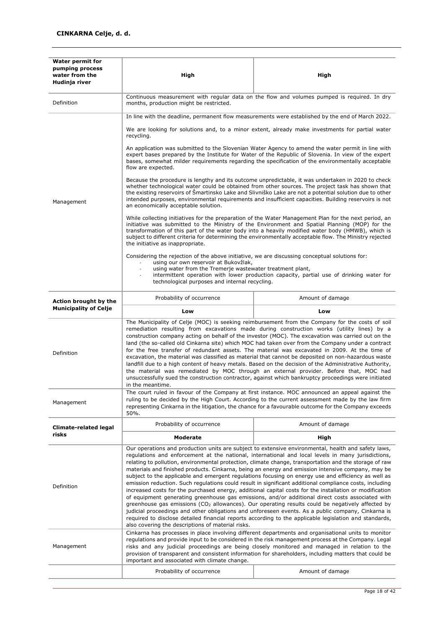| <b>Water permit for</b><br>pumping process<br>water from the<br>Hudinja river | High                                                                                                                                                                                                                                                                                                                                                                                                                                                                                                                                                                                                                                                                                                                                                                                                                                                                                                                                                                                                                                                                                                                                                                                                                                           | High                                                                                                                                                                                                                                                                                                                                                                                                                        |  |  |  |  |  |  |
|-------------------------------------------------------------------------------|------------------------------------------------------------------------------------------------------------------------------------------------------------------------------------------------------------------------------------------------------------------------------------------------------------------------------------------------------------------------------------------------------------------------------------------------------------------------------------------------------------------------------------------------------------------------------------------------------------------------------------------------------------------------------------------------------------------------------------------------------------------------------------------------------------------------------------------------------------------------------------------------------------------------------------------------------------------------------------------------------------------------------------------------------------------------------------------------------------------------------------------------------------------------------------------------------------------------------------------------|-----------------------------------------------------------------------------------------------------------------------------------------------------------------------------------------------------------------------------------------------------------------------------------------------------------------------------------------------------------------------------------------------------------------------------|--|--|--|--|--|--|
| Definition                                                                    | Continuous measurement with regular data on the flow and volumes pumped is required. In dry<br>months, production might be restricted.                                                                                                                                                                                                                                                                                                                                                                                                                                                                                                                                                                                                                                                                                                                                                                                                                                                                                                                                                                                                                                                                                                         |                                                                                                                                                                                                                                                                                                                                                                                                                             |  |  |  |  |  |  |
|                                                                               | In line with the deadline, permanent flow measurements were established by the end of March 2022.                                                                                                                                                                                                                                                                                                                                                                                                                                                                                                                                                                                                                                                                                                                                                                                                                                                                                                                                                                                                                                                                                                                                              |                                                                                                                                                                                                                                                                                                                                                                                                                             |  |  |  |  |  |  |
|                                                                               | recycling.                                                                                                                                                                                                                                                                                                                                                                                                                                                                                                                                                                                                                                                                                                                                                                                                                                                                                                                                                                                                                                                                                                                                                                                                                                     | We are looking for solutions and, to a minor extent, already make investments for partial water                                                                                                                                                                                                                                                                                                                             |  |  |  |  |  |  |
|                                                                               | flow are expected.                                                                                                                                                                                                                                                                                                                                                                                                                                                                                                                                                                                                                                                                                                                                                                                                                                                                                                                                                                                                                                                                                                                                                                                                                             | An application was submitted to the Slovenian Water Agency to amend the water permit in line with<br>expert bases prepared by the Institute for Water of the Republic of Slovenia. In view of the expert<br>bases, somewhat milder requirements regarding the specification of the environmentally acceptable                                                                                                               |  |  |  |  |  |  |
| Management                                                                    | an economically acceptable solution.                                                                                                                                                                                                                                                                                                                                                                                                                                                                                                                                                                                                                                                                                                                                                                                                                                                                                                                                                                                                                                                                                                                                                                                                           | Because the procedure is lengthy and its outcome unpredictable, it was undertaken in 2020 to check<br>whether technological water could be obtained from other sources. The project task has shown that<br>the existing reservoirs of Šmartinsko Lake and Slivniško Lake are not a potential solution due to other<br>intended purposes, environmental requirements and insufficient capacities. Building reservoirs is not |  |  |  |  |  |  |
|                                                                               | the initiative as inappropriate.                                                                                                                                                                                                                                                                                                                                                                                                                                                                                                                                                                                                                                                                                                                                                                                                                                                                                                                                                                                                                                                                                                                                                                                                               | While collecting initiatives for the preparation of the Water Management Plan for the next period, an<br>initiative was submitted to the Ministry of the Environment and Spatial Planning (MOP) for the<br>transformation of this part of the water body into a heavily modified water body (HMWB), which is<br>subject to different criteria for determining the environmentally acceptable flow. The Ministry rejected    |  |  |  |  |  |  |
|                                                                               | Considering the rejection of the above initiative, we are discussing conceptual solutions for:<br>using our own reservoir at Bukovžlak,<br>using water from the Tremerje wastewater treatment plant,<br>technological purposes and internal recycling.                                                                                                                                                                                                                                                                                                                                                                                                                                                                                                                                                                                                                                                                                                                                                                                                                                                                                                                                                                                         | intermittent operation with lower production capacity, partial use of drinking water for                                                                                                                                                                                                                                                                                                                                    |  |  |  |  |  |  |
| Action brought by the                                                         | Probability of occurrence<br>Amount of damage                                                                                                                                                                                                                                                                                                                                                                                                                                                                                                                                                                                                                                                                                                                                                                                                                                                                                                                                                                                                                                                                                                                                                                                                  |                                                                                                                                                                                                                                                                                                                                                                                                                             |  |  |  |  |  |  |
| <b>Municipality of Celje</b>                                                  | Low                                                                                                                                                                                                                                                                                                                                                                                                                                                                                                                                                                                                                                                                                                                                                                                                                                                                                                                                                                                                                                                                                                                                                                                                                                            | Low                                                                                                                                                                                                                                                                                                                                                                                                                         |  |  |  |  |  |  |
| Definition                                                                    | The Municipality of Celje (MOC) is seeking reimbursement from the Company for the costs of soil<br>remediation resulting from excavations made during construction works (utility lines) by a<br>construction company acting on behalf of the investor (MOC). The excavation was carried out on the<br>land (the so-called old Cinkarna site) which MOC had taken over from the Company under a contract<br>for the free transfer of redundant assets. The material was excavated in 2009. At the time of<br>excavation, the material was classified as material that cannot be deposited on non-hazardous waste<br>landfill due to a high content of heavy metals. Based on the decision of the Administrative Authority,<br>the material was remediated by MOC through an external provider. Before that, MOC had<br>unsuccessfully sued the construction contractor, against which bankruptcy proceedings were initiated                                                                                                                                                                                                                                                                                                                    |                                                                                                                                                                                                                                                                                                                                                                                                                             |  |  |  |  |  |  |
| Management                                                                    | 50%.                                                                                                                                                                                                                                                                                                                                                                                                                                                                                                                                                                                                                                                                                                                                                                                                                                                                                                                                                                                                                                                                                                                                                                                                                                           | The court ruled in favour of the Company at first instance. MOC announced an appeal against the<br>ruling to be decided by the High Court. According to the current assessment made by the law firm<br>representing Cinkarna in the litigation, the chance for a favourable outcome for the Company exceeds                                                                                                                 |  |  |  |  |  |  |
| <b>Climate-related legal</b>                                                  | Probability of occurrence                                                                                                                                                                                                                                                                                                                                                                                                                                                                                                                                                                                                                                                                                                                                                                                                                                                                                                                                                                                                                                                                                                                                                                                                                      | Amount of damage                                                                                                                                                                                                                                                                                                                                                                                                            |  |  |  |  |  |  |
| risks                                                                         | <b>Moderate</b>                                                                                                                                                                                                                                                                                                                                                                                                                                                                                                                                                                                                                                                                                                                                                                                                                                                                                                                                                                                                                                                                                                                                                                                                                                | High                                                                                                                                                                                                                                                                                                                                                                                                                        |  |  |  |  |  |  |
| Definition                                                                    | Our operations and production units are subject to extensive environmental, health and safety laws,<br>regulations and enforcement at the national, international and local levels in many jurisdictions,<br>relating to pollution, environmental protection, climate change, transportation and the storage of raw<br>materials and finished products. Cinkarna, being an energy and emission intensive company, may be<br>subject to the applicable and emergent regulations focusing on energy use and efficiency as well as<br>emission reduction. Such regulations could result in significant additional compliance costs, including<br>increased costs for the purchased energy, additional capital costs for the installation or modification<br>of equipment generating greenhouse gas emissions, and/or additional direct costs associated with<br>greenhouse gas emissions (CO <sub>2</sub> allowances). Our operating results could be negatively affected by<br>judicial proceedings and other obligations and unforeseen events. As a public company, Cinkarna is<br>required to disclose detailed financial reports according to the applicable legislation and standards,<br>also covering the descriptions of material risks. |                                                                                                                                                                                                                                                                                                                                                                                                                             |  |  |  |  |  |  |
| Management                                                                    | Cinkarna has processes in place involving different departments and organisational units to monitor<br>regulations and provide input to be considered in the risk management process at the Company. Legal<br>risks and any judicial proceedings are being closely monitored and managed in relation to the<br>provision of transparent and consistent information for shareholders, including matters that could be                                                                                                                                                                                                                                                                                                                                                                                                                                                                                                                                                                                                                                                                                                                                                                                                                           |                                                                                                                                                                                                                                                                                                                                                                                                                             |  |  |  |  |  |  |
|                                                                               | important and associated with climate change.                                                                                                                                                                                                                                                                                                                                                                                                                                                                                                                                                                                                                                                                                                                                                                                                                                                                                                                                                                                                                                                                                                                                                                                                  |                                                                                                                                                                                                                                                                                                                                                                                                                             |  |  |  |  |  |  |
|                                                                               | Probability of occurrence                                                                                                                                                                                                                                                                                                                                                                                                                                                                                                                                                                                                                                                                                                                                                                                                                                                                                                                                                                                                                                                                                                                                                                                                                      | Amount of damage                                                                                                                                                                                                                                                                                                                                                                                                            |  |  |  |  |  |  |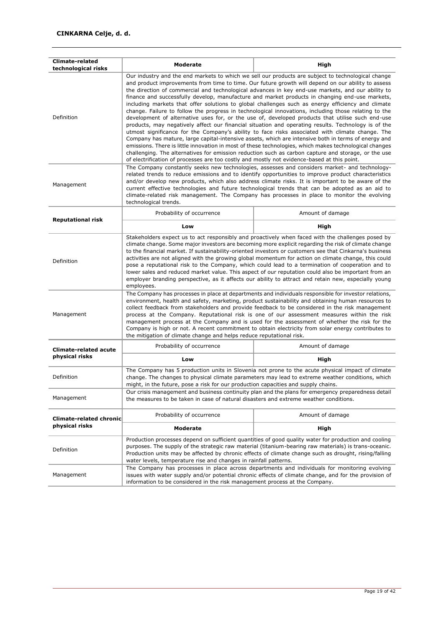| <b>Climate-related</b><br>technological risks | Moderate                                                                                                                                                                                                                                                                                                                                                                                                                                                                                                                                                                                                                                                                                                                                                                                                                                                                                                                                                                                                                                                                                                                                                                                                                                                                                                                                                          | High                                                                                                                                                                                                                                                                                                                                                                                                                                                                                                        |  |  |  |  |  |  |
|-----------------------------------------------|-------------------------------------------------------------------------------------------------------------------------------------------------------------------------------------------------------------------------------------------------------------------------------------------------------------------------------------------------------------------------------------------------------------------------------------------------------------------------------------------------------------------------------------------------------------------------------------------------------------------------------------------------------------------------------------------------------------------------------------------------------------------------------------------------------------------------------------------------------------------------------------------------------------------------------------------------------------------------------------------------------------------------------------------------------------------------------------------------------------------------------------------------------------------------------------------------------------------------------------------------------------------------------------------------------------------------------------------------------------------|-------------------------------------------------------------------------------------------------------------------------------------------------------------------------------------------------------------------------------------------------------------------------------------------------------------------------------------------------------------------------------------------------------------------------------------------------------------------------------------------------------------|--|--|--|--|--|--|
| Definition                                    | Our industry and the end markets to which we sell our products are subject to technological change<br>and product improvements from time to time. Our future growth will depend on our ability to assess<br>the direction of commercial and technological advances in key end-use markets, and our ability to<br>finance and successfully develop, manufacture and market products in changing end-use markets,<br>including markets that offer solutions to global challenges such as energy efficiency and climate<br>change. Failure to follow the progress in technological innovations, including those relating to the<br>development of alternative uses for, or the use of, developed products that utilise such end-use<br>products, may negatively affect our financial situation and operating results. Technology is of the<br>utmost significance for the Company's ability to face risks associated with climate change. The<br>Company has mature, large capital-intensive assets, which are intensive both in terms of energy and<br>emissions. There is little innovation in most of these technologies, which makes technological changes<br>challenging. The alternatives for emission reduction such as carbon capture and storage, or the use<br>of electrification of processes are too costly and mostly not evidence-based at this point. |                                                                                                                                                                                                                                                                                                                                                                                                                                                                                                             |  |  |  |  |  |  |
| Management                                    | technological trends.                                                                                                                                                                                                                                                                                                                                                                                                                                                                                                                                                                                                                                                                                                                                                                                                                                                                                                                                                                                                                                                                                                                                                                                                                                                                                                                                             | The Company constantly seeks new technologies, assesses and considers market- and technology-<br>related trends to reduce emissions and to identify opportunities to improve product characteristics<br>and/or develop new products, which also address climate risks. It is important to be aware of the<br>current effective technologies and future technological trends that can be adopted as an aid to<br>climate-related risk management. The Company has processes in place to monitor the evolving |  |  |  |  |  |  |
| <b>Reputational risk</b>                      | Probability of occurrence                                                                                                                                                                                                                                                                                                                                                                                                                                                                                                                                                                                                                                                                                                                                                                                                                                                                                                                                                                                                                                                                                                                                                                                                                                                                                                                                         | Amount of damage                                                                                                                                                                                                                                                                                                                                                                                                                                                                                            |  |  |  |  |  |  |
|                                               | Low                                                                                                                                                                                                                                                                                                                                                                                                                                                                                                                                                                                                                                                                                                                                                                                                                                                                                                                                                                                                                                                                                                                                                                                                                                                                                                                                                               | High                                                                                                                                                                                                                                                                                                                                                                                                                                                                                                        |  |  |  |  |  |  |
| Definition                                    | Stakeholders expect us to act responsibly and proactively when faced with the challenges posed by<br>climate change. Some major investors are becoming more explicit regarding the risk of climate change<br>to the financial market. If sustainability-oriented investors or customers see that Cinkarna's business<br>activities are not aligned with the growing global momentum for action on climate change, this could<br>pose a reputational risk to the Company, which could lead to a termination of cooperation and to<br>lower sales and reduced market value. This aspect of our reputation could also be important from an<br>employer branding perspective, as it affects our ability to attract and retain new, especially young<br>employees.                                                                                                                                                                                                                                                                                                                                                                                                                                                                                                                                                                                                     |                                                                                                                                                                                                                                                                                                                                                                                                                                                                                                             |  |  |  |  |  |  |
| Management                                    | The Company has processes in place at departments and individuals responsible for investor relations,<br>environment, health and safety, marketing, product sustainability and obtaining human resources to<br>collect feedback from stakeholders and provide feedback to be considered in the risk management<br>process at the Company. Reputational risk is one of our assessment measures within the risk<br>management process at the Company and is used for the assessment of whether the risk for the<br>Company is high or not. A recent commitment to obtain electricity from solar energy contributes to<br>the mitigation of climate change and helps reduce reputational risk.                                                                                                                                                                                                                                                                                                                                                                                                                                                                                                                                                                                                                                                                       |                                                                                                                                                                                                                                                                                                                                                                                                                                                                                                             |  |  |  |  |  |  |
| <b>Climate-related acute</b>                  | Probability of occurrence                                                                                                                                                                                                                                                                                                                                                                                                                                                                                                                                                                                                                                                                                                                                                                                                                                                                                                                                                                                                                                                                                                                                                                                                                                                                                                                                         | Amount of damage                                                                                                                                                                                                                                                                                                                                                                                                                                                                                            |  |  |  |  |  |  |
| physical risks                                | Low                                                                                                                                                                                                                                                                                                                                                                                                                                                                                                                                                                                                                                                                                                                                                                                                                                                                                                                                                                                                                                                                                                                                                                                                                                                                                                                                                               | High                                                                                                                                                                                                                                                                                                                                                                                                                                                                                                        |  |  |  |  |  |  |
| Definition                                    | might, in the future, pose a risk for our production capacities and supply chains.                                                                                                                                                                                                                                                                                                                                                                                                                                                                                                                                                                                                                                                                                                                                                                                                                                                                                                                                                                                                                                                                                                                                                                                                                                                                                | The Company has 5 production units in Slovenia not prone to the acute physical impact of climate<br>change. The changes to physical climate parameters may lead to extreme weather conditions, which                                                                                                                                                                                                                                                                                                        |  |  |  |  |  |  |
| Management                                    | the measures to be taken in case of natural disasters and extreme weather conditions.                                                                                                                                                                                                                                                                                                                                                                                                                                                                                                                                                                                                                                                                                                                                                                                                                                                                                                                                                                                                                                                                                                                                                                                                                                                                             | Our crisis management and business continuity plan and the plans for emergency preparedness detail                                                                                                                                                                                                                                                                                                                                                                                                          |  |  |  |  |  |  |
| <b>Climate-related chronic</b>                | Probability of occurrence                                                                                                                                                                                                                                                                                                                                                                                                                                                                                                                                                                                                                                                                                                                                                                                                                                                                                                                                                                                                                                                                                                                                                                                                                                                                                                                                         | Amount of damage                                                                                                                                                                                                                                                                                                                                                                                                                                                                                            |  |  |  |  |  |  |
| physical risks                                | <b>Moderate</b>                                                                                                                                                                                                                                                                                                                                                                                                                                                                                                                                                                                                                                                                                                                                                                                                                                                                                                                                                                                                                                                                                                                                                                                                                                                                                                                                                   | High                                                                                                                                                                                                                                                                                                                                                                                                                                                                                                        |  |  |  |  |  |  |
| Definition                                    | Production processes depend on sufficient quantities of good quality water for production and cooling<br>purposes. The supply of the strategic raw material (titanium-bearing raw materials) is trans-oceanic.<br>Production units may be affected by chronic effects of climate change such as drought, rising/falling<br>water levels, temperature rise and changes in rainfall patterns.                                                                                                                                                                                                                                                                                                                                                                                                                                                                                                                                                                                                                                                                                                                                                                                                                                                                                                                                                                       |                                                                                                                                                                                                                                                                                                                                                                                                                                                                                                             |  |  |  |  |  |  |
| Management                                    | The Company has processes in place across departments and individuals for monitoring evolving<br>issues with water supply and/or potential chronic effects of climate change, and for the provision of<br>information to be considered in the risk management process at the Company.                                                                                                                                                                                                                                                                                                                                                                                                                                                                                                                                                                                                                                                                                                                                                                                                                                                                                                                                                                                                                                                                             |                                                                                                                                                                                                                                                                                                                                                                                                                                                                                                             |  |  |  |  |  |  |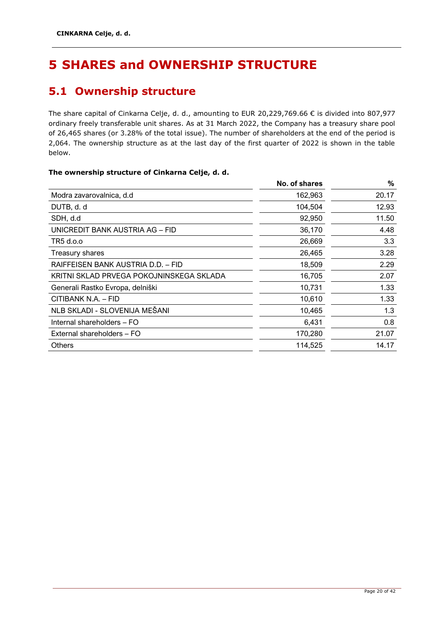## <span id="page-20-0"></span>**5 SHARES and OWNERSHIP STRUCTURE**

### <span id="page-20-1"></span>**5.1 Ownership structure**

The share capital of Cinkarna Celje, d. d., amounting to EUR 20,229,769.66 € is divided into 807,977 ordinary freely transferable unit shares. As at 31 March 2022, the Company has a treasury share pool of 26,465 shares (or 3.28% of the total issue). The number of shareholders at the end of the period is 2,064. The ownership structure as at the last day of the first quarter of 2022 is shown in the table below.

### **The ownership structure of Cinkarna Celje, d. d.**

|                                          | No. of shares | %     |
|------------------------------------------|---------------|-------|
| Modra zavarovalnica, d.d                 | 162,963       | 20.17 |
| DUTB, d. d                               | 104,504       | 12.93 |
| SDH, d.d                                 | 92,950        | 11.50 |
| UNICREDIT BANK AUSTRIA AG – FID          | 36,170        | 4.48  |
| TR5 d.o.o                                | 26,669        | 3.3   |
| Treasury shares                          | 26,465        | 3.28  |
| RAIFFEISEN BANK AUSTRIA D.D. - FID       | 18,509        | 2.29  |
| KRITNI SKLAD PRVEGA POKOJNINSKEGA SKLADA | 16,705        | 2.07  |
| Generali Rastko Evropa, delniški         | 10,731        | 1.33  |
| CITIBANK N.A. - FID                      | 10,610        | 1.33  |
| NLB SKLADI - SLOVENIJA MEŠANI            | 10,465        | 1.3   |
| Internal shareholders - FO               | 6,431         | 0.8   |
| External shareholders - FO               | 170,280       | 21.07 |
| <b>Others</b>                            | 114,525       | 14.17 |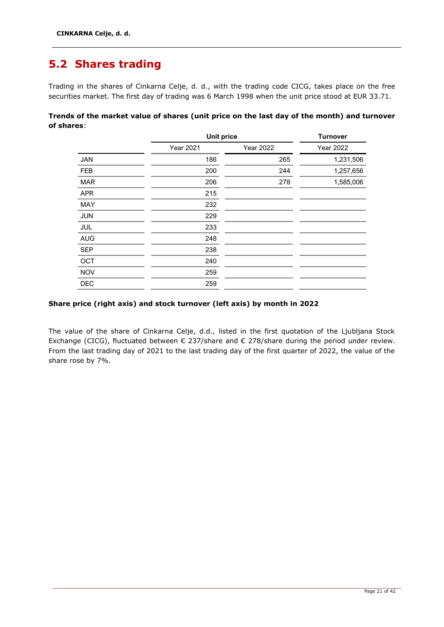### <span id="page-21-0"></span>**5.2 Shares trading**

Trading in the shares of Cinkarna Celje, d. d., with the trading code CICG, takes place on the free securities market. The first day of trading was 6 March 1998 when the unit price stood at EUR 33.71.

**Trends of the market value of shares (unit price on the last day of the month) and turnover of shares**:

|            |                  | <b>Unit price</b> |                  |  |  |
|------------|------------------|-------------------|------------------|--|--|
|            | <b>Year 2021</b> | <b>Year 2022</b>  | <b>Year 2022</b> |  |  |
| <b>JAN</b> | 186              | 265               | 1,231,506        |  |  |
| <b>FEB</b> | 200              | 244               | 1,257,656        |  |  |
| <b>MAR</b> | 206              | 278               | 1,585,006        |  |  |
| <b>APR</b> | 215              |                   |                  |  |  |
| <b>MAY</b> | 232              |                   |                  |  |  |
| <b>JUN</b> | 229              |                   |                  |  |  |
| JUL        | 233              |                   |                  |  |  |
| <b>AUG</b> | 248              |                   |                  |  |  |
| <b>SEP</b> | 238              |                   |                  |  |  |
| OCT        | 240              |                   |                  |  |  |
| <b>NOV</b> | 259              |                   |                  |  |  |
| <b>DEC</b> | 259              |                   |                  |  |  |
|            |                  |                   |                  |  |  |

### **Share price (right axis) and stock turnover (left axis) by month in 2022**

The value of the share of Cinkarna Celje, d.d., listed in the first quotation of the Ljubljana Stock Exchange (CICG), fluctuated between € 237/share and € 278/share during the period under review. From the last trading day of 2021 to the last trading day of the first quarter of 2022, the value of the share rose by 7%.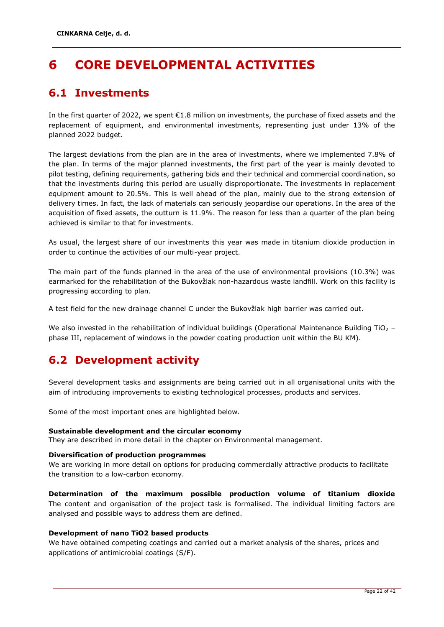## <span id="page-22-0"></span>**6 CORE DEVELOPMENTAL ACTIVITIES**

### <span id="page-22-1"></span>**6.1 Investments**

In the first quarter of 2022, we spent €1.8 million on investments, the purchase of fixed assets and the replacement of equipment, and environmental investments, representing just under 13% of the planned 2022 budget.

The largest deviations from the plan are in the area of investments, where we implemented 7.8% of the plan. In terms of the major planned investments, the first part of the year is mainly devoted to pilot testing, defining requirements, gathering bids and their technical and commercial coordination, so that the investments during this period are usually disproportionate. The investments in replacement equipment amount to 20.5%. This is well ahead of the plan, mainly due to the strong extension of delivery times. In fact, the lack of materials can seriously jeopardise our operations. In the area of the acquisition of fixed assets, the outturn is 11.9%. The reason for less than a quarter of the plan being achieved is similar to that for investments.

As usual, the largest share of our investments this year was made in titanium dioxide production in order to continue the activities of our multi-year project.

The main part of the funds planned in the area of the use of environmental provisions (10.3%) was earmarked for the rehabilitation of the Bukovžlak non-hazardous waste landfill. Work on this facility is progressing according to plan.

A test field for the new drainage channel C under the Bukovžlak high barrier was carried out.

We also invested in the rehabilitation of individual buildings (Operational Maintenance Building TiO<sub>2</sub> – phase III, replacement of windows in the powder coating production unit within the BU KM).

### <span id="page-22-2"></span>**6.2 Development activity**

Several development tasks and assignments are being carried out in all organisational units with the aim of introducing improvements to existing technological processes, products and services.

Some of the most important ones are highlighted below.

### **Sustainable development and the circular economy**

They are described in more detail in the chapter on Environmental management.

### **Diversification of production programmes**

We are working in more detail on options for producing commercially attractive products to facilitate the transition to a low-carbon economy.

**Determination of the maximum possible production volume of titanium dioxide**  The content and organisation of the project task is formalised. The individual limiting factors are analysed and possible ways to address them are defined.

### **Development of nano TiO2 based products**

We have obtained competing coatings and carried out a market analysis of the shares, prices and applications of antimicrobial coatings (S/F).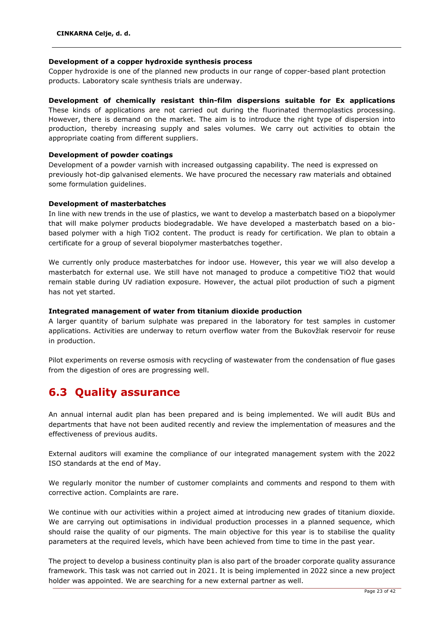### **Development of a copper hydroxide synthesis process**

Copper hydroxide is one of the planned new products in our range of copper-based plant protection products. Laboratory scale synthesis trials are underway.

### **Development of chemically resistant thin-film dispersions suitable for Ex applications**

These kinds of applications are not carried out during the fluorinated thermoplastics processing. However, there is demand on the market. The aim is to introduce the right type of dispersion into production, thereby increasing supply and sales volumes. We carry out activities to obtain the appropriate coating from different suppliers.

### **Development of powder coatings**

Development of a powder varnish with increased outgassing capability. The need is expressed on previously hot-dip galvanised elements. We have procured the necessary raw materials and obtained some formulation guidelines.

### **Development of masterbatches**

In line with new trends in the use of plastics, we want to develop a masterbatch based on a biopolymer that will make polymer products biodegradable. We have developed a masterbatch based on a biobased polymer with a high TiO2 content. The product is ready for certification. We plan to obtain a certificate for a group of several biopolymer masterbatches together.

We currently only produce masterbatches for indoor use. However, this year we will also develop a masterbatch for external use. We still have not managed to produce a competitive TiO2 that would remain stable during UV radiation exposure. However, the actual pilot production of such a pigment has not yet started.

### **Integrated management of water from titanium dioxide production**

A larger quantity of barium sulphate was prepared in the laboratory for test samples in customer applications. Activities are underway to return overflow water from the Bukovžlak reservoir for reuse in production.

Pilot experiments on reverse osmosis with recycling of wastewater from the condensation of flue gases from the digestion of ores are progressing well.

### <span id="page-23-0"></span>**6.3 Quality assurance**

An annual internal audit plan has been prepared and is being implemented. We will audit BUs and departments that have not been audited recently and review the implementation of measures and the effectiveness of previous audits.

External auditors will examine the compliance of our integrated management system with the 2022 ISO standards at the end of May.

We regularly monitor the number of customer complaints and comments and respond to them with corrective action. Complaints are rare.

We continue with our activities within a project aimed at introducing new grades of titanium dioxide. We are carrying out optimisations in individual production processes in a planned sequence, which should raise the quality of our pigments. The main objective for this year is to stabilise the quality parameters at the required levels, which have been achieved from time to time in the past year.

The project to develop a business continuity plan is also part of the broader corporate quality assurance framework. This task was not carried out in 2021. It is being implemented in 2022 since a new project holder was appointed. We are searching for a new external partner as well.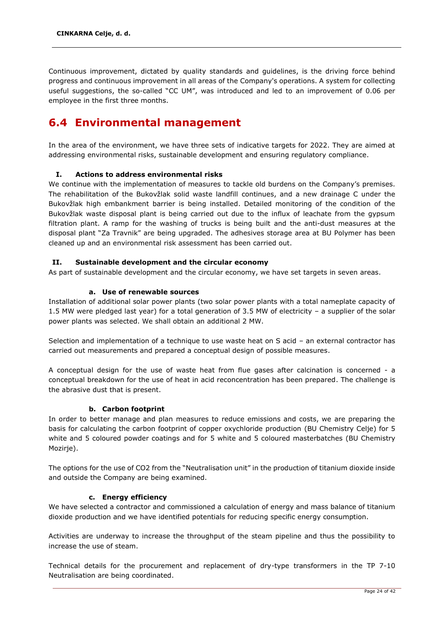Continuous improvement, dictated by quality standards and guidelines, is the driving force behind progress and continuous improvement in all areas of the Company's operations. A system for collecting useful suggestions, the so-called "CC UM", was introduced and led to an improvement of 0.06 per employee in the first three months.

### <span id="page-24-0"></span>**6.4 Environmental management**

In the area of the environment, we have three sets of indicative targets for 2022. They are aimed at addressing environmental risks, sustainable development and ensuring regulatory compliance.

### **I. Actions to address environmental risks**

We continue with the implementation of measures to tackle old burdens on the Company's premises. The rehabilitation of the Bukovžlak solid waste landfill continues, and a new drainage C under the Bukovžlak high embankment barrier is being installed. Detailed monitoring of the condition of the Bukovžlak waste disposal plant is being carried out due to the influx of leachate from the gypsum filtration plant. A ramp for the washing of trucks is being built and the anti-dust measures at the disposal plant "Za Travnik" are being upgraded. The adhesives storage area at BU Polymer has been cleaned up and an environmental risk assessment has been carried out.

### **II. Sustainable development and the circular economy**

As part of sustainable development and the circular economy, we have set targets in seven areas.

### **a. Use of renewable sources**

Installation of additional solar power plants (two solar power plants with a total nameplate capacity of 1.5 MW were pledged last year) for a total generation of 3.5 MW of electricity – a supplier of the solar power plants was selected. We shall obtain an additional 2 MW.

Selection and implementation of a technique to use waste heat on S acid – an external contractor has carried out measurements and prepared a conceptual design of possible measures.

A conceptual design for the use of waste heat from flue gases after calcination is concerned - a conceptual breakdown for the use of heat in acid reconcentration has been prepared. The challenge is the abrasive dust that is present.

### **b. Carbon footprint**

In order to better manage and plan measures to reduce emissions and costs, we are preparing the basis for calculating the carbon footprint of copper oxychloride production (BU Chemistry Celje) for 5 white and 5 coloured powder coatings and for 5 white and 5 coloured masterbatches (BU Chemistry Mozirje).

The options for the use of CO2 from the "Neutralisation unit" in the production of titanium dioxide inside and outside the Company are being examined.

### **c. Energy efficiency**

We have selected a contractor and commissioned a calculation of energy and mass balance of titanium dioxide production and we have identified potentials for reducing specific energy consumption.

Activities are underway to increase the throughput of the steam pipeline and thus the possibility to increase the use of steam.

Technical details for the procurement and replacement of dry-type transformers in the TP 7-10 Neutralisation are being coordinated.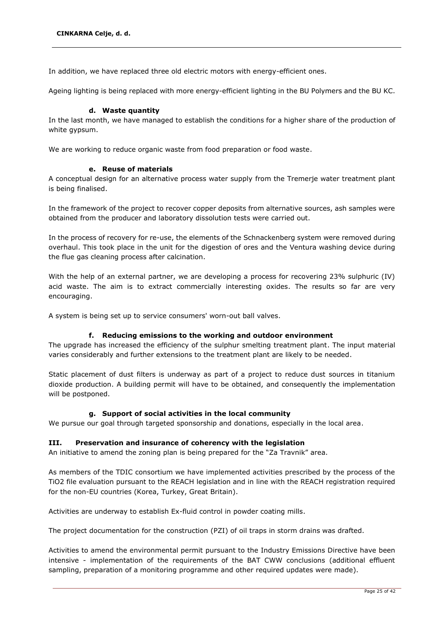In addition, we have replaced three old electric motors with energy-efficient ones.

Ageing lighting is being replaced with more energy-efficient lighting in the BU Polymers and the BU KC.

### **d. Waste quantity**

In the last month, we have managed to establish the conditions for a higher share of the production of white gypsum.

We are working to reduce organic waste from food preparation or food waste.

### **e. Reuse of materials**

A conceptual design for an alternative process water supply from the Tremerje water treatment plant is being finalised.

In the framework of the project to recover copper deposits from alternative sources, ash samples were obtained from the producer and laboratory dissolution tests were carried out.

In the process of recovery for re-use, the elements of the Schnackenberg system were removed during overhaul. This took place in the unit for the digestion of ores and the Ventura washing device during the flue gas cleaning process after calcination.

With the help of an external partner, we are developing a process for recovering 23% sulphuric (IV) acid waste. The aim is to extract commercially interesting oxides. The results so far are very encouraging.

A system is being set up to service consumers' worn-out ball valves.

### **f. Reducing emissions to the working and outdoor environment**

The upgrade has increased the efficiency of the sulphur smelting treatment plant. The input material varies considerably and further extensions to the treatment plant are likely to be needed.

Static placement of dust filters is underway as part of a project to reduce dust sources in titanium dioxide production. A building permit will have to be obtained, and consequently the implementation will be postponed.

### **g. Support of social activities in the local community**

We pursue our goal through targeted sponsorship and donations, especially in the local area.

### **III. Preservation and insurance of coherency with the legislation**

An initiative to amend the zoning plan is being prepared for the "Za Travnik" area.

As members of the TDIC consortium we have implemented activities prescribed by the process of the TiO2 file evaluation pursuant to the REACH legislation and in line with the REACH registration required for the non-EU countries (Korea, Turkey, Great Britain).

Activities are underway to establish Ex-fluid control in powder coating mills.

The project documentation for the construction (PZI) of oil traps in storm drains was drafted.

Activities to amend the environmental permit pursuant to the Industry Emissions Directive have been intensive - implementation of the requirements of the BAT CWW conclusions (additional effluent sampling, preparation of a monitoring programme and other required updates were made).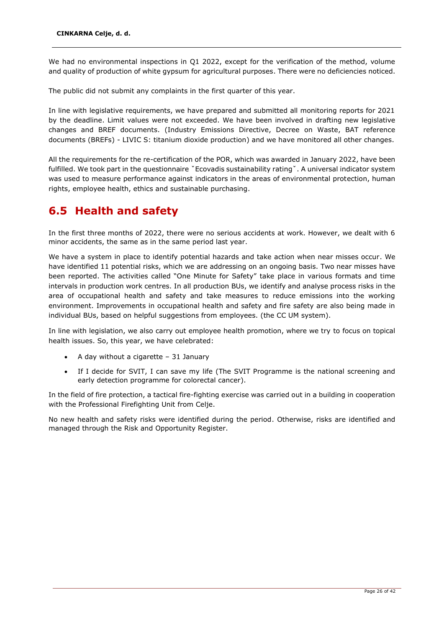We had no environmental inspections in Q1 2022, except for the verification of the method, volume and quality of production of white gypsum for agricultural purposes. There were no deficiencies noticed.

The public did not submit any complaints in the first quarter of this year.

In line with legislative requirements, we have prepared and submitted all monitoring reports for 2021 by the deadline. Limit values were not exceeded. We have been involved in drafting new legislative changes and BREF documents. (Industry Emissions Directive, Decree on Waste, BAT reference documents (BREFs) - LIVIC S: titanium dioxide production) and we have monitored all other changes.

All the requirements for the re-certification of the POR, which was awarded in January 2022, have been fulfilled. We took part in the questionnaire ˇEcovadis sustainability ratingˇ. A universal indicator system was used to measure performance against indicators in the areas of environmental protection, human rights, employee health, ethics and sustainable purchasing.

### <span id="page-26-0"></span>**6.5 Health and safety**

In the first three months of 2022, there were no serious accidents at work. However, we dealt with 6 minor accidents, the same as in the same period last year.

We have a system in place to identify potential hazards and take action when near misses occur. We have identified 11 potential risks, which we are addressing on an ongoing basis. Two near misses have been reported. The activities called "One Minute for Safety" take place in various formats and time intervals in production work centres. In all production BUs, we identify and analyse process risks in the area of occupational health and safety and take measures to reduce emissions into the working environment. Improvements in occupational health and safety and fire safety are also being made in individual BUs, based on helpful suggestions from employees. (the CC UM system).

In line with legislation, we also carry out employee health promotion, where we try to focus on topical health issues. So, this year, we have celebrated:

- A day without a cigarette  $-31$  January
- If I decide for SVIT, I can save my life (The SVIT Programme is the national screening and early detection programme for colorectal cancer).

In the field of fire protection, a tactical fire-fighting exercise was carried out in a building in cooperation with the Professional Firefighting Unit from Celje.

No new health and safety risks were identified during the period. Otherwise, risks are identified and managed through the Risk and Opportunity Register.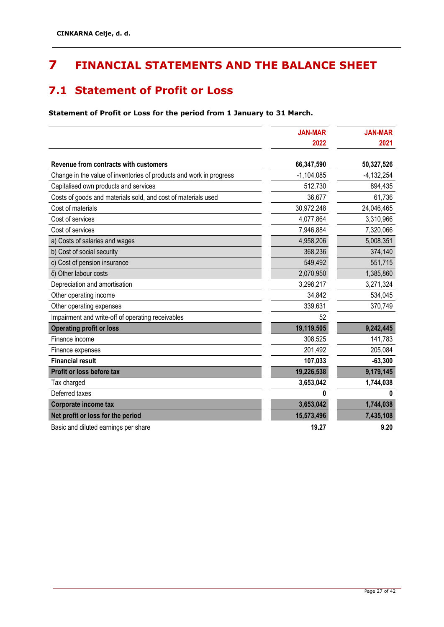## <span id="page-27-0"></span>**7 FINANCIAL STATEMENTS AND THE BALANCE SHEET**

### <span id="page-27-1"></span>**7.1 Statement of Profit or Loss**

**Statement of Profit or Loss for the period from 1 January to 31 March.**

|                                                                     | <b>JAN-MAR</b><br>2022 | <b>JAN-MAR</b><br>2021 |
|---------------------------------------------------------------------|------------------------|------------------------|
|                                                                     |                        |                        |
| Revenue from contracts with customers                               | 66,347,590             | 50,327,526             |
| Change in the value of inventories of products and work in progress | $-1,104,085$           | $-4,132,254$           |
| Capitalised own products and services                               | 512,730                | 894,435                |
| Costs of goods and materials sold, and cost of materials used       | 36,677                 | 61,736                 |
| Cost of materials                                                   | 30,972,248             | 24,046,465             |
| Cost of services                                                    | 4,077,864              | 3,310,966              |
| Cost of services                                                    | 7,946,884              | 7,320,066              |
| a) Costs of salaries and wages                                      | 4,958,206              | 5,008,351              |
| b) Cost of social security                                          | 368,236                | 374,140                |
| c) Cost of pension insurance                                        | 549,492                | 551,715                |
| č) Other labour costs                                               | 2,070,950              | 1,385,860              |
| Depreciation and amortisation                                       | 3,298,217              | 3,271,324              |
| Other operating income                                              | 34,842                 | 534,045                |
| Other operating expenses                                            | 339,631                | 370,749                |
| Impairment and write-off of operating receivables                   | 52                     |                        |
| <b>Operating profit or loss</b>                                     | 19,119,505             | 9,242,445              |
| Finance income                                                      | 308,525                | 141,783                |
| Finance expenses                                                    | 201,492                | 205,084                |
| <b>Financial result</b>                                             | 107,033                | $-63,300$              |
| Profit or loss before tax                                           | 19,226,538             | 9,179,145              |
| Tax charged                                                         | 3,653,042              | 1,744,038              |
| Deferred taxes                                                      |                        |                        |
| Corporate income tax                                                | 3,653,042              | 1,744,038              |
| Net profit or loss for the period                                   | 15,573,496             | 7,435,108              |
| Basic and diluted earnings per share                                | 19.27                  | 9.20                   |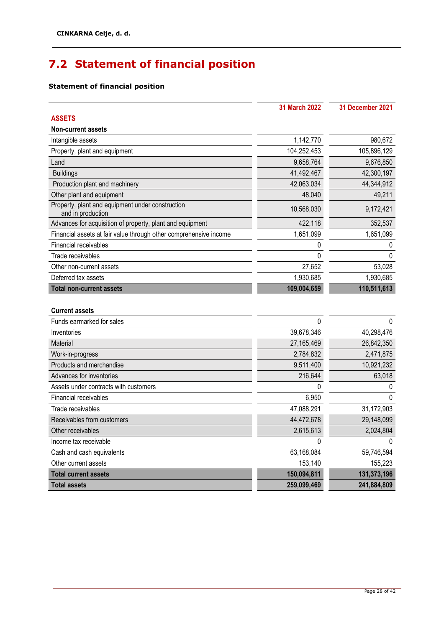## <span id="page-28-0"></span>**7.2 Statement of financial position**

### **Statement of financial position**

|                                                                       | 31 March 2022 | 31 December 2021 |
|-----------------------------------------------------------------------|---------------|------------------|
| <b>ASSETS</b>                                                         |               |                  |
| <b>Non-current assets</b>                                             |               |                  |
| Intangible assets                                                     | 1,142,770     | 980,672          |
| Property, plant and equipment                                         | 104,252,453   | 105,896,129      |
| Land                                                                  | 9,658,764     | 9,676,850        |
| <b>Buildings</b>                                                      | 41,492,467    | 42,300,197       |
| Production plant and machinery                                        | 42,063,034    | 44,344,912       |
| Other plant and equipment                                             | 48,040        | 49,211           |
| Property, plant and equipment under construction<br>and in production | 10,568,030    | 9,172,421        |
| Advances for acquisition of property, plant and equipment             | 422,118       | 352,537          |
| Financial assets at fair value through other comprehensive income     | 1,651,099     | 1,651,099        |
| Financial receivables                                                 | 0             | 0                |
| Trade receivables                                                     | $\Omega$      | $\Omega$         |
| Other non-current assets                                              | 27,652        | 53,028           |
| Deferred tax assets                                                   | 1,930,685     | 1,930,685        |
| <b>Total non-current assets</b>                                       | 109,004,659   | 110,511,613      |
|                                                                       |               |                  |
| <b>Current assets</b>                                                 |               |                  |
| Funds earmarked for sales                                             | 0             | $\Omega$         |
| Inventories                                                           | 39,678,346    | 40,298,476       |
| Material                                                              | 27,165,469    | 26,842,350       |
| Work-in-progress                                                      | 2,784,832     | 2,471,875        |
| Products and merchandise                                              | 9,511,400     | 10,921,232       |
| Advances for inventories                                              | 216,644       | 63,018           |
| Assets under contracts with customers                                 | 0             | 0                |
| Financial receivables                                                 | 6,950         | $\Omega$         |
| Trade receivables                                                     | 47,088,291    | 31,172,903       |
| Receivables from customers                                            | 44,472,678    | 29,148,099       |
| Other receivables                                                     | 2,615,613     | 2,024,804        |
| Income tax receivable                                                 | 0             | $\Omega$         |
| Cash and cash equivalents                                             | 63,168,084    | 59,746,594       |
| Other current assets                                                  | 153,140       | 155,223          |
| <b>Total current assets</b>                                           | 150,094,811   | 131,373,196      |
| <b>Total assets</b>                                                   | 259,099,469   | 241,884,809      |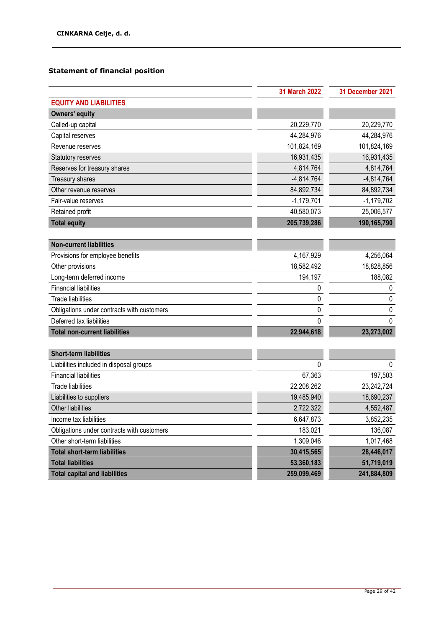### **Statement of financial position**

|                                            | <b>31 March 2022</b> | 31 December 2021 |
|--------------------------------------------|----------------------|------------------|
| <b>EQUITY AND LIABILITIES</b>              |                      |                  |
| <b>Owners' equity</b>                      |                      |                  |
| Called-up capital                          | 20,229,770           | 20,229,770       |
| Capital reserves                           | 44,284,976           | 44,284,976       |
| Revenue reserves                           | 101,824,169          | 101,824,169      |
| <b>Statutory reserves</b>                  | 16,931,435           | 16,931,435       |
| Reserves for treasury shares               | 4,814,764            | 4,814,764        |
| <b>Treasury shares</b>                     | $-4,814,764$         | $-4,814,764$     |
| Other revenue reserves                     | 84,892,734           | 84,892,734       |
| Fair-value reserves                        | $-1,179,701$         | $-1,179,702$     |
| Retained profit                            | 40,580,073           | 25,006,577       |
| <b>Total equity</b>                        | 205,739,286          | 190,165,790      |
|                                            |                      |                  |
| <b>Non-current liabilities</b>             |                      |                  |
| Provisions for employee benefits           | 4,167,929            | 4,256,064        |
| Other provisions                           | 18,582,492           | 18,828,856       |
| Long-term deferred income                  | 194,197              | 188,082          |
| <b>Financial liabilities</b>               | 0                    | 0                |
| <b>Trade liabilities</b>                   | 0                    | 0                |
| Obligations under contracts with customers | 0                    | 0                |
| Deferred tax liabilities                   | 0                    | $\Omega$         |
| <b>Total non-current liabilities</b>       | 22,944,618           | 23,273,002       |
|                                            |                      |                  |
| <b>Short-term liabilities</b>              |                      |                  |
| Liabilities included in disposal groups    | 0                    | $\mathbf{0}$     |
| <b>Financial liabilities</b>               | 67,363               | 197,503          |
| <b>Trade liabilities</b>                   | 22,208,262           | 23,242,724       |
| Liabilities to suppliers                   | 19,485,940           | 18,690,237       |
| Other liabilities                          | 2,722,322            | 4,552,487        |
| Income tax liabilities                     | 6,647,873            | 3,852,235        |
| Obligations under contracts with customers | 183,021              | 136,087          |
| Other short-term liabilities               | 1,309,046            | 1,017,468        |
| <b>Total short-term liabilities</b>        | 30,415,565           | 28,446,017       |
| <b>Total liabilities</b>                   | 53,360,183           | 51,719,019       |
| <b>Total capital and liabilities</b>       | 259,099,469          | 241,884,809      |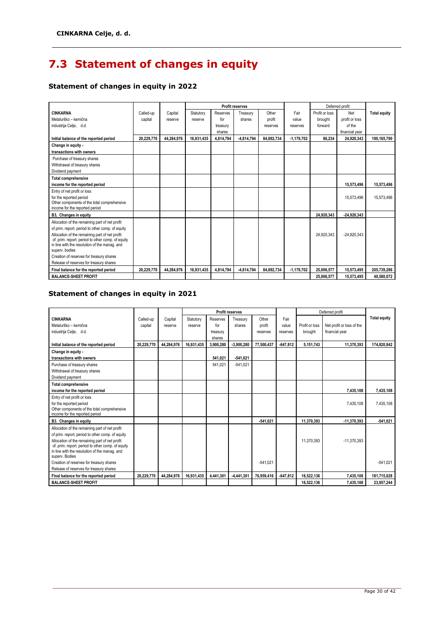## <span id="page-30-0"></span>**7.3 Statement of changes in equity**

### **Statement of changes in equity in 2022**

|                                                                               |            |            |            |           | <b>Profit reserves</b> |            |              |                | Deferred profit |                     |
|-------------------------------------------------------------------------------|------------|------------|------------|-----------|------------------------|------------|--------------|----------------|-----------------|---------------------|
| <b>CINKARNA</b>                                                               | Called-up  | Capital    | Statutory  | Reserves  | Treasury               | Other      | Fair         | Profit or loss | Net             | <b>Total equity</b> |
| Metalurško - kemična                                                          | capital    | reserve    | reserve    | for       | shares                 | profit     | value        | brought        | profit or loss  |                     |
| industrija Celje, d.d.                                                        |            |            |            | treasury  |                        | reserves   | reserves     | forward        | of the          |                     |
|                                                                               |            |            |            | shares    |                        |            |              |                | financial year  |                     |
| Initial balance of the reported period                                        | 20.229.770 | 44.284.976 | 16.931.435 | 4,814,794 | $-4.814.794$           | 84.892.734 | $-1.179.702$ | 86.234         | 24.920.343      | 190.165.790         |
| Change in equity -                                                            |            |            |            |           |                        |            |              |                |                 |                     |
| transactions with owners                                                      |            |            |            |           |                        |            |              |                |                 |                     |
| Purchase of treasury shares                                                   |            |            |            |           |                        |            |              |                |                 |                     |
| Withdrawal of treasury shares                                                 |            |            |            |           |                        |            |              |                |                 |                     |
| Dividend payment                                                              |            |            |            |           |                        |            |              |                |                 |                     |
| <b>Total comprehensive</b>                                                    |            |            |            |           |                        |            |              |                |                 |                     |
| income for the reported period                                                |            |            |            |           |                        |            |              |                | 15.573.496      | 15.573.496          |
| Entry of net profit or loss                                                   |            |            |            |           |                        |            |              |                |                 |                     |
| for the reported period                                                       |            |            |            |           |                        |            |              |                | 15,573,496      | 15,573,496          |
| Other components of the total comprehensive<br>income for the reported period |            |            |            |           |                        |            |              |                |                 |                     |
| B3, Changes in equity                                                         |            |            |            |           |                        |            |              | 24.920.343     | $-24.920.343$   |                     |
| Allocation of the remaining part of net profit                                |            |            |            |           |                        |            |              |                |                 |                     |
| of prim. report. period to other comp. of equity                              |            |            |            |           |                        |            |              |                |                 |                     |
| Allocation of the remaining part of net profit                                |            |            |            |           |                        |            |              | 24.920.343     | $-24.920.343$   |                     |
| of. prim. report. period to other comp. of equity                             |            |            |            |           |                        |            |              |                |                 |                     |
| in line with the resolution of the manag. and<br>superv. bodies               |            |            |            |           |                        |            |              |                |                 |                     |
| Creation of reserves for treasury shares                                      |            |            |            |           |                        |            |              |                |                 |                     |
| Release of reserves for treasury shares                                       |            |            |            |           |                        |            |              |                |                 |                     |
| Final balance for the reported period                                         | 20.229.770 | 44.284.976 | 16.931.435 | 4,814,794 | $-4.814.794$           | 84.892.734 | $-1,179,702$ | 25.006.577     | 15,573,495      | 205.739.286         |
| <b>BALANCE-SHEET PROFIT</b>                                                   |            |            |            |           |                        |            |              | 25.006.577     | 15,573,495      | 40.580.072          |

### **Statement of changes in equity in 2021**

|                                                                               |            |            |            |           | <b>Profit reserves</b> |            |            |                | Deferred profit           |                     |
|-------------------------------------------------------------------------------|------------|------------|------------|-----------|------------------------|------------|------------|----------------|---------------------------|---------------------|
| <b>CINKARNA</b>                                                               | Called-up  | Capital    | Statutory  | Reserves  | Treasury               | Other      | Fair       |                |                           | <b>Total equity</b> |
| Metalurško - kemična                                                          | capital    | reserve    | reserve    | for       | shares                 | profit     | value      | Profit or loss | Net profit or loss of the |                     |
| industrija Celje, d.d.                                                        |            |            |            | treasury  |                        | reserves   | reserves   | brought        | financial year            |                     |
|                                                                               |            |            |            | shares    |                        |            |            |                |                           |                     |
| Initial balance of the reported period                                        | 20.229.770 | 44.284.976 | 16,931,435 | 3.900.280 | $-3.900.280$           | 77.500.437 | $-647.812$ | 5,151,743      | 11.370.393                | 174.820.942         |
| Change in equity -                                                            |            |            |            |           |                        |            |            |                |                           |                     |
| transactions with owners                                                      |            |            |            | 541.021   | $-541.021$             |            |            |                |                           |                     |
| Purchase of treasury shares                                                   |            |            |            | 541.021   | $-541.021$             |            |            |                |                           |                     |
| Withdrawal of treasury shares                                                 |            |            |            |           |                        |            |            |                |                           |                     |
| Dividend payment                                                              |            |            |            |           |                        |            |            |                |                           |                     |
| <b>Total comprehensive</b>                                                    |            |            |            |           |                        |            |            |                |                           |                     |
| income for the reported period                                                |            |            |            |           |                        |            |            |                | 7,435,108                 | 7,435,108           |
| Entry of net profit or loss                                                   |            |            |            |           |                        |            |            |                |                           |                     |
| for the reported period                                                       |            |            |            |           |                        |            |            |                | 7,435,108                 | 7,435,108           |
| Other components of the total comprehensive<br>income for the reported period |            |            |            |           |                        |            |            |                |                           |                     |
| B3. Changes in equity                                                         |            |            |            |           |                        | $-541.021$ |            | 11.370.393     | $-11.370.393$             | $-541.021$          |
| Allocation of the remaining part of net profit                                |            |            |            |           |                        |            |            |                |                           |                     |
| of prim. report, period to other comp. of equity                              |            |            |            |           |                        |            |            |                |                           |                     |
| Allocation of the remaining part of net profit                                |            |            |            |           |                        |            |            | 11.370.393     | $-11.370.393$             |                     |
| of. prim. report. period to other comp. of equity                             |            |            |            |           |                        |            |            |                |                           |                     |
| in line with the resolution of the manag. and<br>superv. Bodies               |            |            |            |           |                        |            |            |                |                           |                     |
| Creation of reserves for treasury shares                                      |            |            |            |           |                        | $-541.021$ |            |                |                           | $-541.021$          |
| Release of reserves for treasury shares                                       |            |            |            |           |                        |            |            |                |                           |                     |
| Final balance for the reported period                                         | 20.229.770 | 44.284.976 | 16,931,435 | 4.441.301 | $-4,441,301$           | 76.959.416 | $-647.812$ | 16.522.136     | 7.435.108                 | 181,715,028         |
| <b>BALANCE-SHEET PROFIT</b>                                                   |            |            |            |           |                        |            |            | 16.522.136     | 7,435,108                 | 23,957,244          |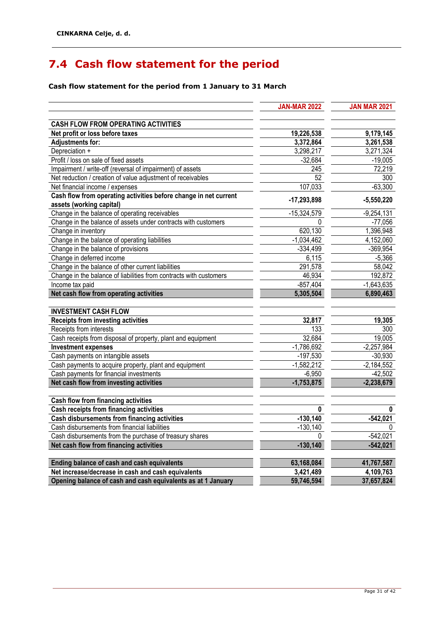## <span id="page-31-0"></span>**7.4 Cash flow statement for the period**

### **Cash flow statement for the period from 1 January to 31 March**

|                                                                            | <b>JAN-MAR 2022</b> | <b>JAN MAR 2021</b>       |
|----------------------------------------------------------------------------|---------------------|---------------------------|
| <b>CASH FLOW FROM OPERATING ACTIVITIES</b>                                 |                     |                           |
| Net profit or loss before taxes                                            | 19,226,538          | 9,179,145                 |
| <b>Adjustments for:</b>                                                    | 3,372,864           | 3,261,538                 |
| Depreciation +                                                             | 3,298,217           | 3,271,324                 |
| Profit / loss on sale of fixed assets                                      | $-32,684$           | $-19,005$                 |
| Impairment / write-off (reversal of impairment) of assets                  | 245                 | 72,219                    |
| Net reduction / creation of value adjustment of receivables                | 52                  | 300                       |
| Net financial income / expenses                                            | 107,033             | $-63,300$                 |
| Cash flow from operating activities before change in net current           | $-17,293,898$       | $-5,550,220$              |
| assets (working capital)<br>Change in the balance of operating receivables |                     |                           |
| Change in the balance of assets under contracts with customers             | $-15,324,579$<br>0  | $-9,254,131$<br>$-77,056$ |
| Change in inventory                                                        | 620,130             | 1,396,948                 |
| Change in the balance of operating liabilities                             | $-1,034,462$        | 4,152,060                 |
| Change in the balance of provisions                                        | $-334,499$          | $-369,954$                |
| Change in deferred income                                                  | 6,115               | $-5,366$                  |
| Change in the balance of other current liabilities                         | 291,578             | 58,042                    |
| Change in the balance of liabilities from contracts with customers         | 46,934              | 192,872                   |
| Income tax paid                                                            | $-857,404$          | $-1,643,635$              |
| Net cash flow from operating activities                                    | 5,305,504           | 6,890,463                 |
|                                                                            |                     |                           |
| <b>INVESTMENT CASH FLOW</b>                                                |                     |                           |
| <b>Receipts from investing activities</b>                                  | 32,817              | 19,305                    |
| Receipts from interests                                                    | 133                 | 300                       |
| Cash receipts from disposal of property, plant and equipment               | 32,684              | 19,005                    |
| <b>Investment expenses</b>                                                 | $-1,786,692$        | $-2,257,984$              |
| Cash payments on intangible assets                                         | $-197,530$          | $-30,930$                 |
| Cash payments to acquire property, plant and equipment                     | $-1,582,212$        | $-2,184,552$              |
| Cash payments for financial investments                                    | $-6,950$            | $-42,502$                 |
| Net cash flow from investing activities                                    | $-1,753,875$        | $-2,238,679$              |
| Cash flow from financing activities                                        |                     |                           |
| Cash receipts from financing activities                                    | $\bf{0}$            | $\bf{0}$                  |
| Cash disbursements from financing activities                               | $-130,140$          | $-542,021$                |
| Cash disbursements from financial liabilities                              | $-130,140$          |                           |
| Cash disbursements from the purchase of treasury shares                    | 0                   | $-542,021$                |
| Net cash flow from financing activities                                    | $-130,140$          | $-542,021$                |
| Ending balance of cash and cash equivalents                                | 63,168,084          | 41,767,587                |
| Net increase/decrease in cash and cash equivalents                         | 3,421,489           | 4,109,763                 |
| Opening balance of cash and cash equivalents as at 1 January               | 59,746,594          | 37,657,824                |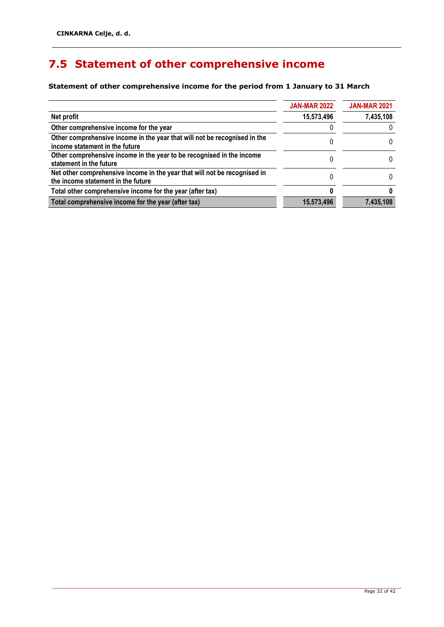## <span id="page-32-0"></span>**7.5 Statement of other comprehensive income**

**Statement of other comprehensive income for the period from 1 January to 31 March**

|                                                                                                                 | <b>JAN-MAR 2022</b> | <b>JAN-MAR 2021</b> |  |
|-----------------------------------------------------------------------------------------------------------------|---------------------|---------------------|--|
| Net profit                                                                                                      | 15,573,496          | 7,435,108           |  |
| Other comprehensive income for the year                                                                         |                     |                     |  |
| Other comprehensive income in the year that will not be recognised in the<br>income statement in the future     |                     | 0                   |  |
| Other comprehensive income in the year to be recognised in the income<br>statement in the future                |                     | $\mathbf{0}$        |  |
| Net other comprehensive income in the year that will not be recognised in<br>the income statement in the future |                     | O                   |  |
| Total other comprehensive income for the year (after tax)                                                       |                     |                     |  |
| Total comprehensive income for the year (after tax)                                                             | 15,573,496          | 7,435,108           |  |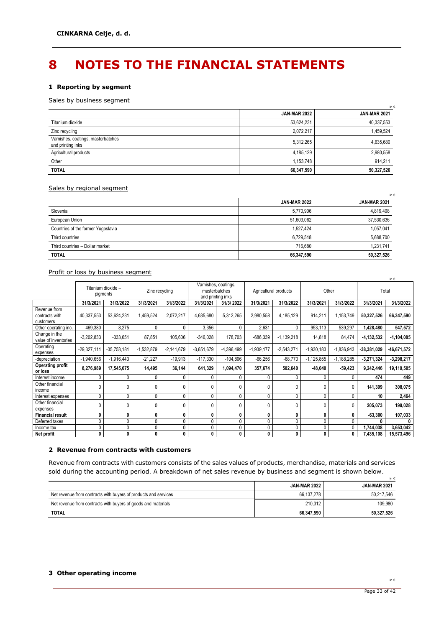## <span id="page-33-0"></span>**8 NOTES TO THE FINANCIAL STATEMENTS**

### **1 Reporting by segment**

### Sales by business segment

|                                                         | <b>JAN-MAR 2022</b> | <b>JAN-MAR 2021</b> |  |
|---------------------------------------------------------|---------------------|---------------------|--|
| Titanium dioxide                                        | 53,624,231          | 40,337,553          |  |
| Zinc recycling                                          | 2.072.217           | 1,459,524           |  |
| Varnishes, coatings, masterbatches<br>and printing inks | 5,312,265           | 4,635,680           |  |
| Agricultural products                                   | 4,185,129           | 2,980,558           |  |
| Other                                                   | 1,153,748           | 914,211             |  |
| <b>TOTAL</b>                                            | 66,347,590          | 50,327,526          |  |

#### Sales by regional segment

|                                    |                     | in $\epsilon$       |
|------------------------------------|---------------------|---------------------|
|                                    | <b>JAN-MAR 2022</b> | <b>JAN-MAR 2021</b> |
| Slovenia                           | 5,770,906           | 4,819,408           |
| European Union                     | 51,603,062          | 37,530,636          |
| Countries of the former Yugoslavia | 1,527,424           | 1,057,041           |
| Third countries                    | 6,729,518           | 5,688,700           |
| Third countries - Dollar market    | 716.680             | 1,231,741           |
| <b>TOTAL</b>                       | 66,347,590          | 50,327,526          |

Profit or loss by business segment

|                                             |               |                                |              |                |                                                            |              |                       |              |              |              |               | in $\epsilon$ |
|---------------------------------------------|---------------|--------------------------------|--------------|----------------|------------------------------------------------------------|--------------|-----------------------|--------------|--------------|--------------|---------------|---------------|
|                                             |               | Titanium dioxide -<br>pigments |              | Zinc recycling | Varnishes, coatings,<br>masterbatches<br>and printing inks |              | Agricultural products |              | Other        |              |               | Total         |
|                                             | 31/3/2021     | 31/3/2022                      | 31/3/2021    | 31/3/2022      | 31/3/2021                                                  | 31/3/2022    | 31/3/2021             | 31/3/2022    | 31/3/2021    | 31/3/2022    | 31/3/2021     | 31/3/2022     |
| Revenue from<br>contracts with<br>customers | 40,337,553    | 53,624,231                     | 1,459,524    | 2,072,217      | 4,635,680                                                  | 5,312,265    | 2,980,558             | 4,185,129    | 914,211      | 1,153,749    | 50,327,526    | 66,347,590    |
| Other operating inc.                        | 469,380       | 8,275                          | 0            | 0              | 3,356                                                      | $\mathbf 0$  | 2,631                 | 0            | 953,113      | 539,297      | 1,428,480     | 547,572       |
| Change in the<br>value of inventories       | $-3,202,833$  | $-333,651$                     | 87,851       | 105,606        | $-346,028$                                                 | 178,703      | $-686,339$            | $-1,139,218$ | 14,818       | 84,474       | $-4,132,532$  | $-1,104,085$  |
| Operating<br>expenses                       | $-29,327,111$ | $-35,753,181$                  | $-1,532,879$ | $-2,141,679$   | $-3,651,679$                                               | $-4,396,499$ | $-1,939,177$          | $-2,543,271$ | $-1,930,183$ | $-1,836,943$ | $-38,381,029$ | -46,671,572   |
| -depreciation                               | $-1,940,656$  | $-1,916,443$                   | $-21,227$    | $-19,913$      | $-117,330$                                                 | $-104,806$   | $-66,256$             | $-68,770$    | $-1,125,855$ | $-1,188,285$ | $-3,271,324$  | $-3,298,217$  |
| <b>Operating profit</b><br>or loss          | 8,276,989     | 17,545,675                     | 14,495       | 36,144         | 641,329                                                    | 1,094,470    | 357,674               | 502,640      | $-48,040$    | $-59,423$    | 9,242,446     | 19,119,505    |
| Interest income                             | 0             | 0                              | 0            | $\Omega$       | 0                                                          | $\mathbf{0}$ | 0                     | 0            | 0            | 0            | 474           | 449           |
| Other financial<br>income                   | 0             | 0                              | 0            | $\Omega$       | 0                                                          | $\mathbf{0}$ | $\mathbf{0}$          | 0            | $\mathbf{0}$ | 0            | 141,309       | 308,075       |
| Interest expenses                           | 0             | 0                              | 0            | O              | 0                                                          | 0            | 0                     | 0            | 0            | 0            | 10            | 2,464         |
| Other financial<br>expenses                 | 0             | 0                              | 0            | $\mathbf{0}$   | 0                                                          | $\mathbf{0}$ | 0                     | 0            | 0            | 0            | 205,073       | 199,028       |
| <b>Financial result</b>                     | 0             | 0                              | 0            | 0              | 0                                                          | 0            | 0                     | 0            | 0            | 0            | $-63,300$     | 107,033       |
| Deferred taxes                              | 0             | 0                              | 0            | 0              | 0                                                          | 0            | 0                     | 0            | 0            | 0            |               |               |
| Income tax                                  | 0             | 0                              | 0            |                | 0                                                          | 0            | 0                     | 0            | 0            | 0            | 1,744,038     | 3,653,042     |
| Net profit                                  | 0             | 0                              | 0            | 0              | 0                                                          | 0            | 0                     | 0            | 0            | 0            | 7,435,108     | 15,573,496    |

### **2 Revenue from contracts with customers**

Revenue from contracts with customers consists of the sales values of products, merchandise, materials and services sold during the accounting period. A breakdown of net sales revenue by business and segment is shown below. in €

|                                                                 | <b>JAN-MAR 2022</b> | <b>JAN-MAR 2021</b> |
|-----------------------------------------------------------------|---------------------|---------------------|
| Net revenue from contracts with buyers of products and services | 66.137.278          | 50.217.546          |
| Net revenue from contracts with buyers of goods and materials   | 210.312             | 109.980             |
| <b>TOTAL</b>                                                    | 66,347,590          | 50.327.526          |

### **3 Other operating income**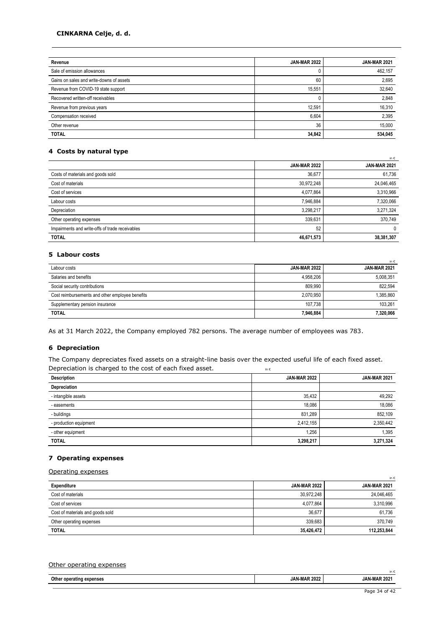### **CINKARNA Celje, d. d.**

| Revenue                                  | <b>JAN-MAR 2022</b> | <b>JAN-MAR 2021</b> |
|------------------------------------------|---------------------|---------------------|
| Sale of emission allowances              | U                   | 462,157             |
| Gains on sales and write-downs of assets | 60                  | 2,695               |
| Revenue from COVID-19 state support      | 15,551              | 32,640              |
| Recovered written-off receivables        |                     | 2,848               |
| Revenue from previous years              | 12,591              | 16,310              |
| Compensation received                    | 6,604               | 2,395               |
| Other revenue                            | 36                  | 15.000              |
| <b>TOTAL</b>                             | 34,842              | 534,045             |

### **4 Costs by natural type**

|                                                 | <b>JAN-MAR 2022</b> | <b>JAN-MAR 2021</b> |
|-------------------------------------------------|---------------------|---------------------|
| Costs of materials and goods sold               | 36,677              | 61,736              |
| Cost of materials                               | 30,972,248          | 24,046,465          |
| Cost of services                                | 4,077,864           | 3,310,966           |
| Labour costs                                    | 7,946,884           | 7,320,066           |
| Depreciation                                    | 3,298,217           | 3,271,324           |
| Other operating expenses                        | 339,631             | 370.749             |
| Impairments and write-offs of trade receivables | 52                  | 0                   |
| <b>TOTAL</b>                                    | 46,671,573          | 38,381,307          |

### **5 Labour costs**

| Labour costs                                    | <b>JAN-MAR 2022</b> | <b>JAN-MAR 2021</b> |
|-------------------------------------------------|---------------------|---------------------|
| Salaries and benefits                           | 4.958.206           | 5,008,351           |
| Social security contributions                   | 809.990             | 822.594             |
| Cost reimbursements and other employee benefits | 2.070.950           | 1,385,860           |
| Supplementary pension insurance                 | 107.738             | 103.261             |
| <b>TOTAL</b>                                    | 7,946,884           | 7,320,066           |

As at 31 March 2022, the Company employed 782 persons. The average number of employees was 783.

### **6 Depreciation**

The Company depreciates fixed assets on a straight-line basis over the expected useful life of each fixed asset. Depreciation is charged to the cost of each fixed asset.  $\qquad \qquad \qquad \qquad$ 

| <b>Description</b>     | <b>JAN-MAR 2022</b> | <b>JAN-MAR 2021</b> |
|------------------------|---------------------|---------------------|
| Depreciation           |                     |                     |
| - intangible assets    | 35,432              | 49,292              |
| - easements            | 18,086              | 18,086              |
| - buildings            | 831,289             | 852,109             |
| - production equipment | 2,412,155           | 2,350,442           |
| - other equipment      | 1,256               | 1,395               |
| <b>TOTAL</b>           | 3,298,217           | 3,271,324           |

### **7 Operating expenses**

Operating expenses

| Expenditure                      | <b>JAN-MAR 2022</b> | <b>JAN-MAR 2021</b> |  |
|----------------------------------|---------------------|---------------------|--|
| Cost of materials                | 30,972,248          | 24,046,465          |  |
| Cost of services                 | 4,077,864           | 3,310,996           |  |
| Cost of materials and goods sold | 36.677              | 61.736              |  |
| Other operating expenses         | 339.683             | 370.749             |  |
| <b>TOTAL</b>                     | 35,426,472          | 112,253,844         |  |

| Other i<br>operating<br>expenses |                     |                     |  |  |
|----------------------------------|---------------------|---------------------|--|--|
|                                  |                     | in (                |  |  |
| Other operating expenses         | <b>JAN-MAR 2022</b> | <b>JAN-MAR 2021</b> |  |  |

in €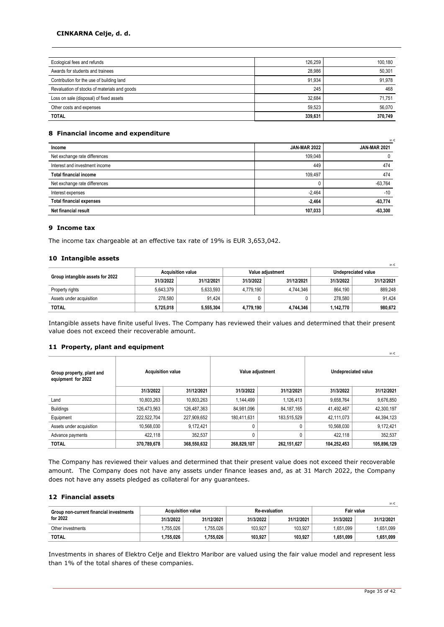### **CINKARNA Celje, d. d.**

| Ecological fees and refunds                  | 126.259 | 100.180 |
|----------------------------------------------|---------|---------|
| Awards for students and trainees             | 28.986  | 50,301  |
| Contribution for the use of building land    | 91.934  | 91.978  |
| Revaluation of stocks of materials and goods | 245     | 468     |
| Loss on sale (disposal) of fixed assets      | 32.684  | 71.751  |
| Other costs and expenses                     | 59.523  | 56,070  |
| <b>TOTAL</b>                                 | 339.631 | 370,749 |

#### **8 Financial income and expenditure**

|                                 |                     | in t                |
|---------------------------------|---------------------|---------------------|
| Income                          | <b>JAN-MAR 2022</b> | <b>JAN-MAR 2021</b> |
| Net exchange rate differences   | 109,048             |                     |
| Interest and investment income  | 449                 | 474                 |
| <b>Total financial income</b>   | 109,497             | 474                 |
| Net exchange rate differences   |                     | $-63,764$           |
| Interest expenses               | $-2.464$            | $-10$               |
| <b>Total financial expenses</b> | $-2,464$            | $-63,774$           |
| Net financial result            | 107,033             | $-63,300$           |

#### **9 Income tax**

The income tax chargeable at an effective tax rate of 19% is EUR 3,653,042.

### **10 Intangible assets**

|                                  |           |                          |           |                  |                     | in $\epsilon$ |  |
|----------------------------------|-----------|--------------------------|-----------|------------------|---------------------|---------------|--|
| Group intangible assets for 2022 |           | <b>Acquisition value</b> |           | Value adiustment | Undepreciated value |               |  |
|                                  | 31/3/2022 | 31/12/2021               | 31/3/2022 | 31/12/2021       | 31/3/2022           | 31/12/2021    |  |
| Property rights                  | 5.643.379 | 5.633.593                | 4.779.190 | 4.744.346        | 864.190             | 889.248       |  |
| Assets under acquisition         | 278.580   | 91.424                   |           |                  | 278.580             | 91.424        |  |
| <b>TOTAL</b>                     | 5,725,018 | 5,555,304                | 4,779,190 | 4.744.346        | 1,142,770           | 980.672       |  |

Intangible assets have finite useful lives. The Company has reviewed their values and determined that their present value does not exceed their recoverable amount.

#### **11 Property, plant and equipment**

| Group property, plant and<br>equipment for 2022 | <b>Acquisition value</b> |             |              | Value adjustment | Undepreciated value |             |  |
|-------------------------------------------------|--------------------------|-------------|--------------|------------------|---------------------|-------------|--|
|                                                 | 31/3/2022                | 31/12/2021  | 31/3/2022    | 31/12/2021       | 31/3/2022           | 31/12/2021  |  |
| Land                                            | 10,803,263               | 10,803,263  | 1,144,499    | 1,126,413        | 9,658,764           | 9,676,850   |  |
| <b>Buildings</b>                                | 126,473,563              | 126,487,363 | 84,981,096   | 84, 187, 165     | 41,492,467          | 42,300,197  |  |
| Equipment                                       | 222.522.704              | 227,909,652 | 180,411,631  | 183,515,529      | 42,111,073          | 44,394,123  |  |
| Assets under acquisition                        | 10,568,030               | 9,172,421   | 0            |                  | 10,568,030          | 9,172,421   |  |
| Advance payments                                | 422.118                  | 352,537     | $\mathbf{0}$ |                  | 422,118             | 352,537     |  |
| <b>TOTAL</b>                                    | 370,789,678              | 368,550,632 | 268,829,107  | 262,151,627      | 104,252,453         | 105,896,129 |  |

The Company has reviewed their values and determined that their present value does not exceed their recoverable amount. The Company does not have any assets under finance leases and, as at 31 March 2022, the Company does not have any assets pledged as collateral for any guarantees.

#### **12 Financial assets**

|                                                     |                          |            |           |                      |           | in $\epsilon$ |
|-----------------------------------------------------|--------------------------|------------|-----------|----------------------|-----------|---------------|
| Group non-current financial investments<br>for 2022 | <b>Acquisition value</b> |            |           | <b>Re-evaluation</b> |           | Fair value    |
|                                                     | 31/3/2022                | 31/12/2021 | 31/3/2022 | 31/12/2021           | 31/3/2022 | 31/12/2021    |
| Other investments                                   | .755.026                 | .755.026   | 103.927   | 103.927              | 1.651.099 | 1.651.099     |
| <b>TOTAL</b>                                        | 1,755,026                | .755.026   | 103,927   | 103,927              | 1.651.099 | 1,651,099     |

Investments in shares of Elektro Celje and Elektro Maribor are valued using the fair value model and represent less than 1% of the total shares of these companies.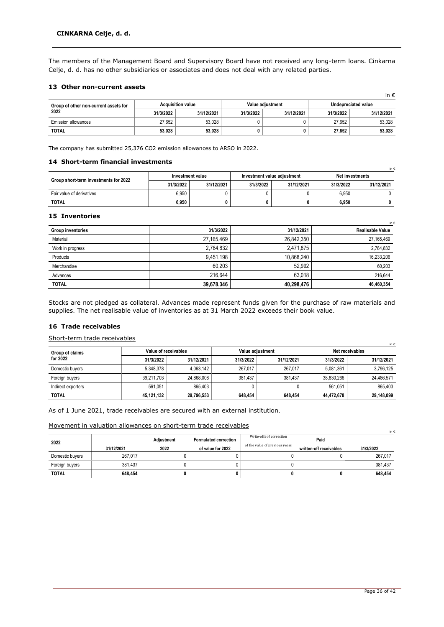The members of the Management Board and Supervisory Board have not received any long-term loans. Cinkarna Celje, d. d. has no other subsidiaries or associates and does not deal with any related parties.

### **13 Other non-current assets**

|                                       |           |                          |           |                  |           | in $\epsilon$       |
|---------------------------------------|-----------|--------------------------|-----------|------------------|-----------|---------------------|
| Group of other non-current assets for |           | <b>Acquisition value</b> |           | Value adiustment |           | Undepreciated value |
| 2022                                  | 31/3/2022 | 31/12/2021               | 31/3/2022 | 31/12/2021       | 31/3/2022 | 31/12/2021          |
| <b>Emission allowances</b>            | 27.652    | 53.028                   |           |                  | 27.652    | 53.028              |
| <b>TOTAL</b>                          | 53,028    | 53,028                   |           |                  | 27,652    | 53.028              |

The company has submitted 25,376 CO2 emission allowances to ARSO in 2022.

### **14 Short-term financial investments**

|                                       | Investment value |            |           | Investment value adiustment | Net investments |            |  |
|---------------------------------------|------------------|------------|-----------|-----------------------------|-----------------|------------|--|
| Group short-term investments for 2022 | 31/3/2022        | 31/12/2021 | 31/3/2022 | 31/12/2021                  | 31/3/2022       | 31/12/2021 |  |
| Fair value of derivatives             | 6.950            |            |           |                             | 6.950           |            |  |
| <b>TOTAL</b>                          | 6,950            | 0          |           | 0                           | 6,950           |            |  |

### **15 Inventories**

|                          |            |            | in 6                    |
|--------------------------|------------|------------|-------------------------|
| <b>Group inventories</b> | 31/3/2022  | 31/12/2021 | <b>Realisable Value</b> |
| Material                 | 27,165,469 | 26,842,350 | 27, 165, 469            |
| Work in progress         | 2.784.832  | 2.471.875  | 2,784,832               |
| Products                 | 9.451.198  | 10,868,240 | 16,233,206              |
| Merchandise              | 60.203     | 52.992     | 60,203                  |
| Advances                 | 216.644    | 63.018     | 216.644                 |
| <b>TOTAL</b>             | 39,678,346 | 40,298,476 | 46,460,354              |

Stocks are not pledged as collateral. Advances made represent funds given for the purchase of raw materials and supplies. The net realisable value of inventories as at 31 March 2022 exceeds their book value.

### **16 Trade receivables**

### Short-term trade receivables

| in €               |            |                      |           |                  |                 |            |  |
|--------------------|------------|----------------------|-----------|------------------|-----------------|------------|--|
| Group of claims    |            | Value of receivables |           | Value adiustment | Net receivables |            |  |
| for 2022           | 31/3/2022  | 31/12/2021           | 31/3/2022 | 31/12/2021       | 31/3/2022       | 31/12/2021 |  |
| Domestic buyers    | 5.348.378  | 4.063.142            | 267.017   | 267.017          | 5.081.361       | 3,796,125  |  |
| Foreign buyers     | 39.211.703 | 24.868.008           | 381.437   | 381.437          | 38.830.266      | 24.486.571 |  |
| Indirect exporters | 561.051    | 865.403              |           |                  | 561.051         | 865.403    |  |
| <b>TOTAL</b>       | 45,121,132 | 29,796,553           | 648.454   | 648,454          | 44,472,678      | 29,148,099 |  |

As of 1 June 2021, trade receivables are secured with an external institution.

Movement in valuation allowances on short-term trade receivables

|                 |            |            |                              |                                |                         | in $\epsilon$ |
|-----------------|------------|------------|------------------------------|--------------------------------|-------------------------|---------------|
| 2022            |            | Adjustment | <b>Formulated correction</b> | Write-offs of correction       | Paid                    |               |
|                 | 31/12/2021 | 2022       | of value for 2022            | of the value of previous years | written-off receivables | 31/3/2022     |
| Domestic buyers | 267.017    |            |                              |                                |                         | 267,017       |
| Foreign buyers  | 381,437    |            |                              |                                |                         | 381.437       |
| <b>TOTAL</b>    | 648.454    |            |                              |                                |                         | 648,454       |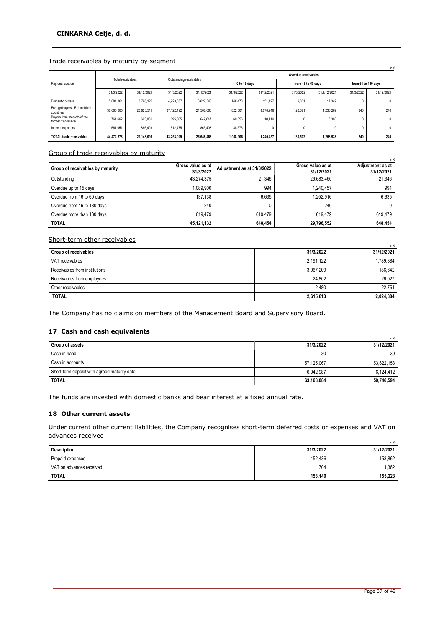### Trade receivables by maturity by segment

|                                                 |            |                   |                         |            |                     |              |                    |              |                     | in $\epsilon$ |
|-------------------------------------------------|------------|-------------------|-------------------------|------------|---------------------|--------------|--------------------|--------------|---------------------|---------------|
|                                                 |            | Total receivables | Outstanding receivables |            | Overdue receivables |              |                    |              |                     |               |
| Regional section                                |            |                   |                         |            |                     | 0 to 15 days | from 16 to 60 days |              | from 61 to 180 days |               |
|                                                 | 31/3/2022  | 31/12/2021        | 31/3/2022               | 31/12/2021 | 31/3/2022           | 31/12/2021   | 31/3/2022          | 31.ž/12/2021 | 31/3/2022           | 31/12/2021    |
| Domestic buyers                                 | 5.081.361  | 3,796,125         | 4.923.057               | 3.627.348  | 148,473             | 151.427      | 9,831              | 17.349       |                     | 0             |
| Foreign buyers - EU and third<br>countries      | 38.065.605 | 23.823.511        | 37.122.192              | 21.508.066 | 822.501             | 1.078.916    | 120.671            | 1.236.289    | 240                 | 240           |
| Buyers from markets of the<br>former Yugoslavia | 764.662    | 663.061           | 695.305                 | 647.647    | 69.356              | 10.114       |                    | 5.300        | $\Omega$            | $\mathbf{0}$  |
| Indirect exporters                              | 561.051    | 865.403           | 512.475                 | 865.403    | 48.576              |              | $\Omega$           |              | $\mathbf{0}$        | $\mathbf{0}$  |
| <b>TOTAL trade receivables</b>                  | 44.472.678 | 29.148.099        | 43.253.029              | 26.648.463 | 1.088.906           | 1.240.457    | 130.502            | 1,258,938    | 240                 | 240           |

### Group of trade receivables by maturity

|                                  |                                |                            |                                 | in €                           |
|----------------------------------|--------------------------------|----------------------------|---------------------------------|--------------------------------|
| Group of receivables by maturity | Gross value as at<br>31/3/2022 | Adjustment as at 31/3/2022 | Gross value as at<br>31/12/2021 | Adjustment as at<br>31/12/2021 |
| Outstanding                      | 43.274.375                     | 21.346                     | 26,683,460                      | 21.346                         |
| Overdue up to 15 days            | 1.089.900                      | 994                        | 1.240.457                       | 994                            |
| Overdue from 16 to 60 days       | 137.138                        | 6.635                      | 1,252,916                       | 6.635                          |
| Overdue from 16 to 180 days      | 240                            |                            | 240                             | 0                              |
| Overdue more than 180 days       | 619.479                        | 619.479                    | 619.479                         | 619.479                        |
| <b>TOTAL</b>                     | 45,121,132                     | 648.454                    | 29,796,552                      | 648.454                        |

### Short-term other receivables

|                               |           | in €       |
|-------------------------------|-----------|------------|
| Group of receivables          | 31/3/2022 | 31/12/2021 |
| VAT receivables               | 2.191.122 | 1.789.384  |
| Receivables from institutions | 3,967,209 | 186.642    |
| Receivables from employees    | 24.802    | 26.027     |
| Other receivables             | 2.480     | 22.751     |
| <b>TOTAL</b>                  | 2,615,613 | 2,024,804  |

The Company has no claims on members of the Management Board and Supervisory Board.

### **17 Cash and cash equivalents**

|                                              |            | in $\epsilon$ |
|----------------------------------------------|------------|---------------|
| Group of assets                              | 31/3/2022  | 31/12/2021    |
| Cash in hand                                 | 30         | 30            |
| Cash in accounts                             | 57,125,067 | 53.622.153    |
| Short-term deposit with agreed maturity date | 6,042,987  | 6,124,412     |
| <b>TOTAL</b>                                 | 63,168,084 | 59,746,594    |

The funds are invested with domestic banks and bear interest at a fixed annual rate.

### **18 Other current assets**

Under current other current liabilities, the Company recognises short-term deferred costs or expenses and VAT on advances received.

|                          |           | in €       |
|--------------------------|-----------|------------|
| Description              | 31/3/2022 | 31/12/2021 |
| Prepaid expenses         | 152,436   | 153.862    |
| VAT on advances received | 704       | ,362       |
| <b>TOTAL</b>             | 153,140   | 155,223    |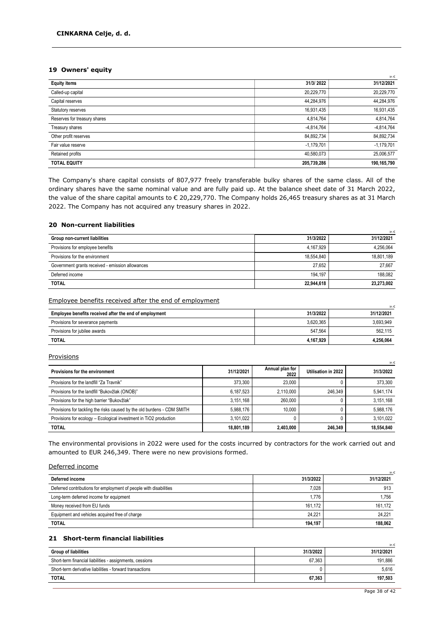### **19 Owners' equity**

|                              |              | in €         |
|------------------------------|--------------|--------------|
| <b>Equity items</b>          | 31/3/2022    | 31/12/2021   |
| Called-up capital            | 20,229,770   | 20,229,770   |
| Capital reserves             | 44,284,976   | 44,284,976   |
| Statutory reserves           | 16,931,435   | 16,931,435   |
| Reserves for treasury shares | 4,814,764    | 4,814,764    |
| Treasury shares              | $-4,814,764$ | $-4,814,764$ |
| Other profit reserves        | 84,892,734   | 84,892,734   |
| Fair value reserve           | $-1,179,701$ | $-1,179,701$ |
| Retained profits             | 40,580,073   | 25,006,577   |
| <b>TOTAL EQUITY</b>          | 205,739,286  | 190,165,790  |

The Company's share capital consists of 807,977 freely transferable bulky shares of the same class. All of the ordinary shares have the same nominal value and are fully paid up. At the balance sheet date of 31 March 2022, the value of the share capital amounts to € 20,229,770. The Company holds 26,465 treasury shares as at 31 March 2022. The Company has not acquired any treasury shares in 2022.

### **20 Non-current liabilities**

|                                                  |            | -in €      |
|--------------------------------------------------|------------|------------|
| Group non-current liabilities                    | 31/3/2022  | 31/12/2021 |
| Provisions for employee benefits                 | 4,167,929  | 4.256.064  |
| Provisions for the environment                   | 18,554,840 | 18.801.189 |
| Government grants received - emission allowances | 27.652     | 27.667     |
| Deferred income                                  | 194.197    | 188.082    |
| <b>TOTAL</b>                                     | 22,944,618 | 23.273.002 |

#### Employee benefits received after the end of employment

|                                                        |           | in $\epsilon$ |
|--------------------------------------------------------|-----------|---------------|
| Employee benefits received after the end of employment | 31/3/2022 | 31/12/2021    |
| Provisions for severance payments                      | 3.620.365 | 3,693,949     |
| Provisions for jubilee awards                          | 547.564   | 562,115       |
| <b>TOTAL</b>                                           | 4.167.929 | 4.256.064     |

#### **Provisions**

|                                                                         |            |                         |                     | in €       |
|-------------------------------------------------------------------------|------------|-------------------------|---------------------|------------|
| Provisions for the environment                                          | 31/12/2021 | Annual plan for<br>2022 | Utilisation in 2022 | 31/3/2022  |
| Provisions for the landfill "Za Travnik"                                | 373.300    | 23.000                  |                     | 373,300    |
| Provisions for the landfill "Bukovžlak (ONOB)"                          | 6.187.523  | 2.110.000               | 246.349             | 5,941,174  |
| Provisions for the high barrier "Bukovžlak"                             | 3.151.168  | 260.000                 |                     | 3,151,168  |
| Provisions for tackling the risks caused by the old burdens - CDM SMITH | 5.988.176  | 10.000                  |                     | 5,988,176  |
| Provisions for ecology - Ecological investment in TiO2 production       | 3.101.022  |                         |                     | 3.101.022  |
| <b>TOTAL</b>                                                            | 18,801,189 | 2.403.000               | 246.349             | 18.554.840 |

The environmental provisions in 2022 were used for the costs incurred by contractors for the work carried out and amounted to EUR 246,349. There were no new provisions formed.

#### Deferred income

| Deferred income                                                   | 31/3/2022 | 31/12/2021 |
|-------------------------------------------------------------------|-----------|------------|
| Deferred contributions for employment of people with disabilities | 7.028     | 913        |
| Long-term deferred income for equipment                           | 1.776     | 1.756      |
| Money received from EU funds                                      | 161.172   | 161.172    |
| Equipment and vehicles acquired free of charge                    | 24.221    | 24.221     |
| <b>TOTAL</b>                                                      | 194.197   | 188.062    |

### **21 Short-term financial liabilities**

|                                                          |           | in $\epsilon$ |
|----------------------------------------------------------|-----------|---------------|
| <b>Group of liabilities</b>                              | 31/3/2022 | 31/12/2021    |
| Short-term financial liabilities - assignments, cessions | 67.363    | 191.886       |
| Short-term derivative liabilities - forward transactions |           | 5.616         |
| <b>TOTAL</b>                                             | 67.363    | 197.503       |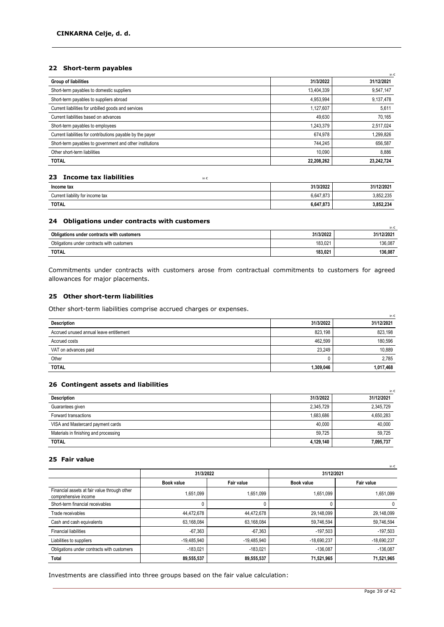### **22 Short-term payables**

| <b>Group of liabilities</b>                                | 31/3/2022  | 31/12/2021 |
|------------------------------------------------------------|------------|------------|
| Short-term payables to domestic suppliers                  | 13,404,339 | 9,547,147  |
| Short-term payables to suppliers abroad                    | 4,953,994  | 9,137,478  |
| Current liabilities for unbilled goods and services        | 1,127,607  | 5,611      |
| Current liabilities based on advances                      | 49,630     | 70,165     |
| Short-term payables to employees                           | 1,243,379  | 2,517,024  |
| Current liabilities for contributions payable by the payer | 674,978    | 1,299,826  |
| Short-term payables to government and other institutions   | 744,245    | 656,587    |
| Other short-term liabilities                               | 10.090     | 8,886      |
| <b>TOTAL</b>                                               | 22,208,262 | 23,242,724 |

### **23 Income tax liabilities income tax income tax**

| Income tax                       | 31/3/2022 | 31/12/2021 |
|----------------------------------|-----------|------------|
| Current liability for income tax | 6,647,873 | 3,852,235  |
| <b>TOTAL</b>                     | 6,647,873 | 3,852,234  |

### **24 Obligations under contracts with customers**

| Obligations under contracts with customers | 31/3/2022 | in €<br>31/12/2021 |
|--------------------------------------------|-----------|--------------------|
| Obligations under contracts with customers | 183.021   | 136.087            |
| <b>TOTAL</b>                               | 183,021   | 136,087            |

Commitments under contracts with customers arose from contractual commitments to customers for agreed allowances for major placements.

#### **25 Other short-term liabilities**

Other short-term liabilities comprise accrued charges or expenses.

| -                                       |           | in €       |
|-----------------------------------------|-----------|------------|
| Description                             | 31/3/2022 | 31/12/2021 |
| Accrued unused annual leave entitlement | 823,198   | 823,198    |
| Accrued costs                           | 462.599   | 180.596    |
| VAT on advances paid                    | 23.249    | 10.889     |
| Other                                   |           | 2,785      |
| <b>TOTAL</b>                            | 1,309,046 | 1,017,468  |

### **26 Contingent assets and liabilities**

|                                       |           | in 6       |
|---------------------------------------|-----------|------------|
| <b>Description</b>                    | 31/3/2022 | 31/12/2021 |
| Guarantees given                      | 2,345,729 | 2,345,729  |
| Forward transactions                  | 1.683.686 | 4,650,283  |
| VISA and Mastercard payment cards     | 40.000    | 40.000     |
| Materials in finishing and processing | 59.725    | 59.725     |
| <b>TOTAL</b>                          | 4,129,140 | 7,095,737  |

### **25 Fair value**

|                                                                      | 31/3/2022     |               | 31/12/2021    |               |  |
|----------------------------------------------------------------------|---------------|---------------|---------------|---------------|--|
|                                                                      | Book value    | Fair value    | Book value    | Fair value    |  |
| Financial assets at fair value through other<br>comprehensive income | 1,651,099     | 1,651,099     | 1,651,099     | 1,651,099     |  |
| Short-term financial receivables                                     |               |               |               | $\mathbf{0}$  |  |
| Trade receivables                                                    | 44.472.678    | 44,472,678    | 29,148,099    | 29,148,099    |  |
| Cash and cash equivalents                                            | 63,168,084    | 63,168,084    | 59,746,594    | 59,746,594    |  |
| <b>Financial liabilities</b>                                         | $-67.363$     | $-67.363$     | $-197.503$    | $-197.503$    |  |
| Liabilities to suppliers                                             | $-19.485.940$ | $-19.485.940$ | $-18.690.237$ | $-18,690,237$ |  |
| Obligations under contracts with customers                           | $-183.021$    | $-183.021$    | $-136.087$    | $-136.087$    |  |
| Total                                                                | 89,555,537    | 89,555,537    | 71,521,965    | 71,521,965    |  |

Investments are classified into three groups based on the fair value calculation: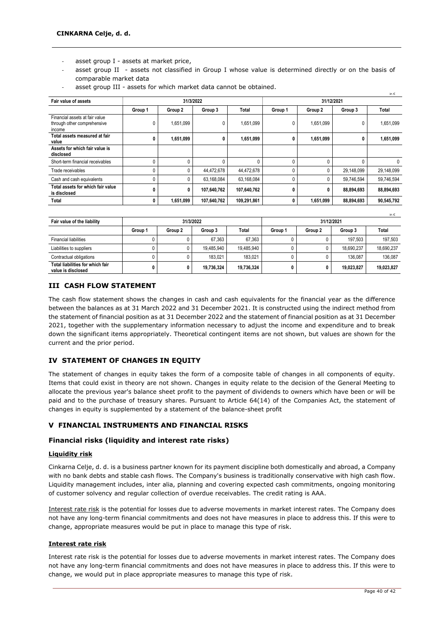- asset group I assets at market price,
- asset group II assets not classified in Group I whose value is determined directly or on the basis of comparable market data

| Fair value of assets                                                    | 31/3/2022 |           |             | in $\epsilon$<br>31/12/2021 |              |              |            |              |
|-------------------------------------------------------------------------|-----------|-----------|-------------|-----------------------------|--------------|--------------|------------|--------------|
|                                                                         | Group 1   | Group 2   | Group 3     | Total                       | Group 1      | Group 2      | Group 3    | <b>Total</b> |
| Financial assets at fair value<br>through other comprehensive<br>income |           | 1,651,099 | 0           | 1,651,099                   | 0            | 1,651,099    |            | 1,651,099    |
| Total assets measured at fair<br>value                                  |           | 1,651,099 | 0           | 1,651,099                   | 0            | 1,651,099    |            | 1,651,099    |
| Assets for which fair value is<br>disclosed                             |           |           |             |                             |              |              |            |              |
| Short-term financial receivables                                        |           |           |             |                             | $\Omega$     | <sup>0</sup> |            | 0            |
| Trade receivables                                                       |           | 0         | 44,472,678  | 44,472,678                  | $\mathbf{0}$ |              | 29,148,099 | 29,148,099   |
| Cash and cash equivalents                                               |           | 0         | 63,168,084  | 63,168,084                  | $\mathbf{0}$ |              | 59,746,594 | 59,746,594   |
| Total assets for which fair value<br>is disclosed                       | 0         | 0         | 107,640,762 | 107,640,762                 | 0            | 0            | 88,894,693 | 88,894,693   |
| Total                                                                   | 0         | 1,651,099 | 107,640,762 | 109,291,861                 | $\mathbf{0}$ | 1,651,099    | 88,894,693 | 90,545,792   |

asset group III - assets for which market data cannot be obtained.

|                                                        |           |         |            |            |         |         |            | in $\epsilon$ |
|--------------------------------------------------------|-----------|---------|------------|------------|---------|---------|------------|---------------|
| Fair value of the liability                            | 31/3/2022 |         |            | 31/12/2021 |         |         |            |               |
|                                                        | Group 1   | Group 2 | Group 3    | Total      | Group 1 | Group 2 | Group 3    | Total         |
| <b>Financial liabilities</b>                           |           |         | 67.363     | 67.363     |         |         | 197.503    | 197.503       |
| Liabilities to suppliers                               | 0         |         | 19.485.940 | 19.485.940 |         |         | 18.690.237 | 18,690,237    |
| Contractual obligations                                |           |         | 183.021    | 183.021    |         |         | 136.087    | 136.087       |
| Total liabilities for which fair<br>value is disclosed | 0         |         | 19.736.324 | 19,736,324 | 0       |         | 19.023.827 | 19,023,827    |

### **III CASH FLOW STATEMENT**

The cash flow statement shows the changes in cash and cash equivalents for the financial year as the difference between the balances as at 31 March 2022 and 31 December 2021. It is constructed using the indirect method from the statement of financial position as at 31 December 2022 and the statement of financial position as at 31 December 2021, together with the supplementary information necessary to adjust the income and expenditure and to break down the significant items appropriately. Theoretical contingent items are not shown, but values are shown for the current and the prior period.

### **IV STATEMENT OF CHANGES IN EQUITY**

The statement of changes in equity takes the form of a composite table of changes in all components of equity. Items that could exist in theory are not shown. Changes in equity relate to the decision of the General Meeting to allocate the previous year's balance sheet profit to the payment of dividends to owners which have been or will be paid and to the purchase of treasury shares. Pursuant to Article 64(14) of the Companies Act, the statement of changes in equity is supplemented by a statement of the balance-sheet profit

### **V FINANCIAL INSTRUMENTS AND FINANCIAL RISKS**

### **Financial risks (liquidity and interest rate risks)**

### **Liquidity risk**

Cinkarna Celje, d. d. is a business partner known for its payment discipline both domestically and abroad, a Company with no bank debts and stable cash flows. The Company's business is traditionally conservative with high cash flow. Liquidity management includes, inter alia, planning and covering expected cash commitments, ongoing monitoring of customer solvency and regular collection of overdue receivables. The credit rating is AAA.

Interest rate risk is the potential for losses due to adverse movements in market interest rates. The Company does not have any long-term financial commitments and does not have measures in place to address this. If this were to change, appropriate measures would be put in place to manage this type of risk.

### **Interest rate risk**

Interest rate risk is the potential for losses due to adverse movements in market interest rates. The Company does not have any long-term financial commitments and does not have measures in place to address this. If this were to change, we would put in place appropriate measures to manage this type of risk.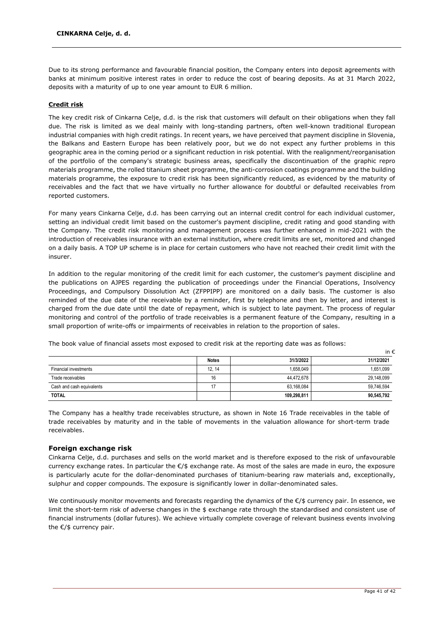Due to its strong performance and favourable financial position, the Company enters into deposit agreements with banks at minimum positive interest rates in order to reduce the cost of bearing deposits. As at 31 March 2022, deposits with a maturity of up to one year amount to EUR 6 million.

### **Credit risk**

The key credit risk of Cinkarna Celje, d.d. is the risk that customers will default on their obligations when they fall due. The risk is limited as we deal mainly with long-standing partners, often well-known traditional European industrial companies with high credit ratings. In recent years, we have perceived that payment discipline in Slovenia, the Balkans and Eastern Europe has been relatively poor, but we do not expect any further problems in this geographic area in the coming period or a significant reduction in risk potential. With the realignment/reorganisation of the portfolio of the company's strategic business areas, specifically the discontinuation of the graphic repro materials programme, the rolled titanium sheet programme, the anti-corrosion coatings programme and the building materials programme, the exposure to credit risk has been significantly reduced, as evidenced by the maturity of receivables and the fact that we have virtually no further allowance for doubtful or defaulted receivables from reported customers.

For many years Cinkarna Celje, d.d. has been carrying out an internal credit control for each individual customer, setting an individual credit limit based on the customer's payment discipline, credit rating and good standing with the Company. The credit risk monitoring and management process was further enhanced in mid-2021 with the introduction of receivables insurance with an external institution, where credit limits are set, monitored and changed on a daily basis. A TOP UP scheme is in place for certain customers who have not reached their credit limit with the insurer.

In addition to the regular monitoring of the credit limit for each customer, the customer's payment discipline and the publications on AJPES regarding the publication of proceedings under the Financial Operations, Insolvency Proceedings, and Compulsory Dissolution Act (ZFPPIPP) are monitored on a daily basis. The customer is also reminded of the due date of the receivable by a reminder, first by telephone and then by letter, and interest is charged from the due date until the date of repayment, which is subject to late payment. The process of regular monitoring and control of the portfolio of trade receivables is a permanent feature of the Company, resulting in a small proportion of write-offs or impairments of receivables in relation to the proportion of sales.

|                           |              |             | in €       |
|---------------------------|--------------|-------------|------------|
|                           | <b>Notes</b> | 31/3/2022   | 31/12/2021 |
| Financial investments     | 12, 14       | 1,658,049   | 1,651,099  |
| Trade receivables         | 16           | 44,472,678  | 29,148,099 |
| Cash and cash equivalents | 17           | 63,168,084  | 59,746,594 |
| <b>TOTAL</b>              |              | 109,298,811 | 90,545,792 |

The book value of financial assets most exposed to credit risk at the reporting date was as follows:

The Company has a healthy trade receivables structure, as shown in Note 16 Trade receivables in the table of trade receivables by maturity and in the table of movements in the valuation allowance for short-term trade receivables.

### **Foreign exchange risk**

Cinkarna Celje, d.d. purchases and sells on the world market and is therefore exposed to the risk of unfavourable currency exchange rates. In particular the €/\$ exchange rate. As most of the sales are made in euro, the exposure is particularly acute for the dollar-denominated purchases of titanium-bearing raw materials and, exceptionally, sulphur and copper compounds. The exposure is significantly lower in dollar-denominated sales.

We continuously monitor movements and forecasts regarding the dynamics of the €/\$ currency pair. In essence, we limit the short-term risk of adverse changes in the \$ exchange rate through the standardised and consistent use of financial instruments (dollar futures). We achieve virtually complete coverage of relevant business events involving the €/\$ currency pair.